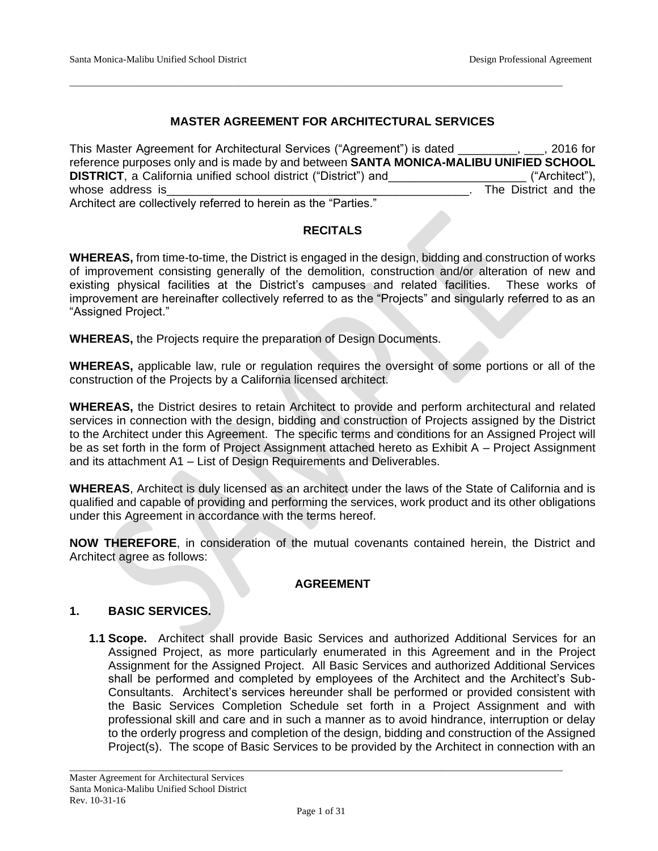## **MASTER AGREEMENT FOR ARCHITECTURAL SERVICES**

\_\_\_\_\_\_\_\_\_\_\_\_\_\_\_\_\_\_\_\_\_\_\_\_\_\_\_\_\_\_\_\_\_\_\_\_\_\_\_\_\_\_\_\_\_\_\_\_\_\_\_\_\_\_\_\_\_\_\_\_\_\_\_\_\_\_\_\_\_\_\_\_\_\_\_\_\_\_\_\_\_\_\_\_\_\_\_\_\_\_\_\_\_\_\_\_\_\_\_\_\_\_

This Master Agreement for Architectural Services ("Agreement") is dated \_\_\_\_\_\_\_\_\_, \_\_\_, 2016 for reference purposes only and is made by and between **SANTA MONICA-MALIBU UNIFIED SCHOOL DISTRICT**, a California unified school district ("District") and \_\_\_\_\_\_\_\_\_\_\_\_ ("Architect"), whose address is **the set of the set of the set of the Security** The District and the Architect are collectively referred to herein as the "Parties."

#### **RECITALS**

**WHEREAS,** from time-to-time, the District is engaged in the design, bidding and construction of works of improvement consisting generally of the demolition, construction and/or alteration of new and existing physical facilities at the District's campuses and related facilities. These works of improvement are hereinafter collectively referred to as the "Projects" and singularly referred to as an "Assigned Project."

**WHEREAS,** the Projects require the preparation of Design Documents.

**WHEREAS,** applicable law, rule or regulation requires the oversight of some portions or all of the construction of the Projects by a California licensed architect.

**WHEREAS,** the District desires to retain Architect to provide and perform architectural and related services in connection with the design, bidding and construction of Projects assigned by the District to the Architect under this Agreement. The specific terms and conditions for an Assigned Project will be as set forth in the form of Project Assignment attached hereto as Exhibit A – Project Assignment and its attachment A1 – List of Design Requirements and Deliverables.

**WHEREAS**, Architect is duly licensed as an architect under the laws of the State of California and is qualified and capable of providing and performing the services, work product and its other obligations under this Agreement in accordance with the terms hereof.

**NOW THEREFORE**, in consideration of the mutual covenants contained herein, the District and Architect agree as follows:

#### **AGREEMENT**

## **1. BASIC SERVICES.**

**1.1 Scope.** Architect shall provide Basic Services and authorized Additional Services for an Assigned Project, as more particularly enumerated in this Agreement and in the Project Assignment for the Assigned Project. All Basic Services and authorized Additional Services shall be performed and completed by employees of the Architect and the Architect's Sub-Consultants. Architect's services hereunder shall be performed or provided consistent with the Basic Services Completion Schedule set forth in a Project Assignment and with professional skill and care and in such a manner as to avoid hindrance, interruption or delay to the orderly progress and completion of the design, bidding and construction of the Assigned Project(s). The scope of Basic Services to be provided by the Architect in connection with an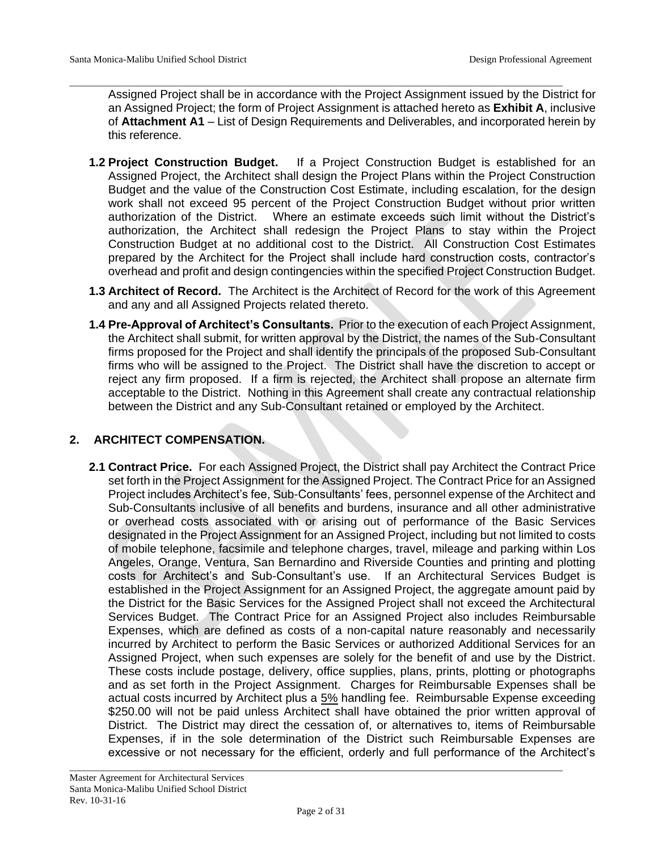Assigned Project shall be in accordance with the Project Assignment issued by the District for an Assigned Project; the form of Project Assignment is attached hereto as **Exhibit A**, inclusive of **Attachment A1** – List of Design Requirements and Deliverables, and incorporated herein by this reference.

\_\_\_\_\_\_\_\_\_\_\_\_\_\_\_\_\_\_\_\_\_\_\_\_\_\_\_\_\_\_\_\_\_\_\_\_\_\_\_\_\_\_\_\_\_\_\_\_\_\_\_\_\_\_\_\_\_\_\_\_\_\_\_\_\_\_\_\_\_\_\_\_\_\_\_\_\_\_\_\_\_\_\_\_\_\_\_\_\_\_\_\_\_\_\_\_\_\_\_\_\_\_

- **1.2 Project Construction Budget.** If a Project Construction Budget is established for an Assigned Project, the Architect shall design the Project Plans within the Project Construction Budget and the value of the Construction Cost Estimate, including escalation, for the design work shall not exceed 95 percent of the Project Construction Budget without prior written authorization of the District. Where an estimate exceeds such limit without the District's authorization, the Architect shall redesign the Project Plans to stay within the Project Construction Budget at no additional cost to the District. All Construction Cost Estimates prepared by the Architect for the Project shall include hard construction costs, contractor's overhead and profit and design contingencies within the specified Project Construction Budget.
- **1.3 Architect of Record.** The Architect is the Architect of Record for the work of this Agreement and any and all Assigned Projects related thereto.
- **1.4 Pre-Approval of Architect's Consultants.** Prior to the execution of each Project Assignment, the Architect shall submit, for written approval by the District, the names of the Sub-Consultant firms proposed for the Project and shall identify the principals of the proposed Sub-Consultant firms who will be assigned to the Project. The District shall have the discretion to accept or reject any firm proposed. If a firm is rejected, the Architect shall propose an alternate firm acceptable to the District. Nothing in this Agreement shall create any contractual relationship between the District and any Sub-Consultant retained or employed by the Architect.

# **2. ARCHITECT COMPENSATION.**

**2.1 Contract Price.** For each Assigned Project, the District shall pay Architect the Contract Price set forth in the Project Assignment for the Assigned Project. The Contract Price for an Assigned Project includes Architect's fee, Sub-Consultants' fees, personnel expense of the Architect and Sub-Consultants inclusive of all benefits and burdens, insurance and all other administrative or overhead costs associated with or arising out of performance of the Basic Services designated in the Project Assignment for an Assigned Project, including but not limited to costs of mobile telephone, facsimile and telephone charges, travel, mileage and parking within Los Angeles, Orange, Ventura, San Bernardino and Riverside Counties and printing and plotting costs for Architect's and Sub-Consultant's use. If an Architectural Services Budget is established in the Project Assignment for an Assigned Project, the aggregate amount paid by the District for the Basic Services for the Assigned Project shall not exceed the Architectural Services Budget. The Contract Price for an Assigned Project also includes Reimbursable Expenses, which are defined as costs of a non-capital nature reasonably and necessarily incurred by Architect to perform the Basic Services or authorized Additional Services for an Assigned Project, when such expenses are solely for the benefit of and use by the District. These costs include postage, delivery, office supplies, plans, prints, plotting or photographs and as set forth in the Project Assignment. Charges for Reimbursable Expenses shall be actual costs incurred by Architect plus a 5% handling fee. Reimbursable Expense exceeding \$250.00 will not be paid unless Architect shall have obtained the prior written approval of District. The District may direct the cessation of, or alternatives to, items of Reimbursable Expenses, if in the sole determination of the District such Reimbursable Expenses are excessive or not necessary for the efficient, orderly and full performance of the Architect's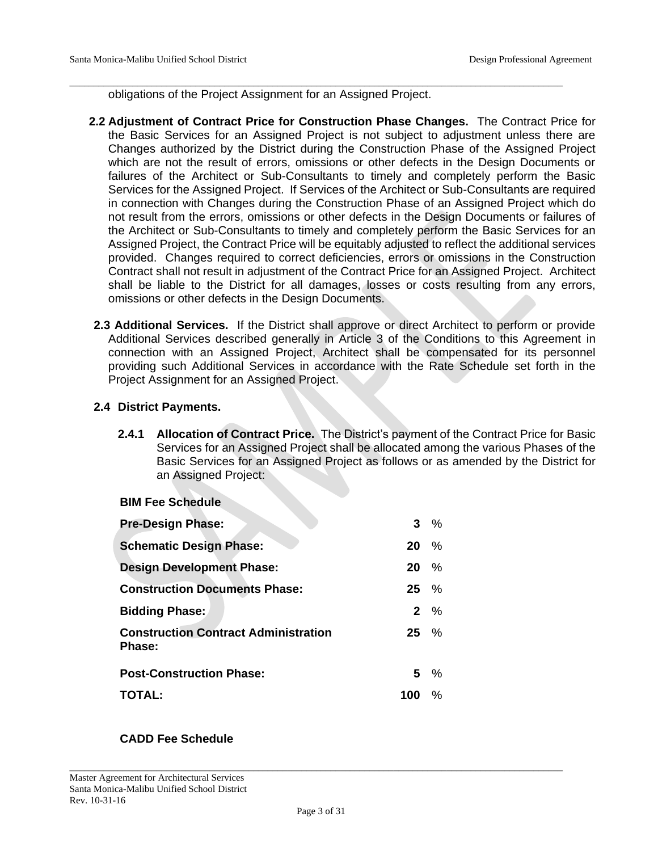obligations of the Project Assignment for an Assigned Project.

\_\_\_\_\_\_\_\_\_\_\_\_\_\_\_\_\_\_\_\_\_\_\_\_\_\_\_\_\_\_\_\_\_\_\_\_\_\_\_\_\_\_\_\_\_\_\_\_\_\_\_\_\_\_\_\_\_\_\_\_\_\_\_\_\_\_\_\_\_\_\_\_\_\_\_\_\_\_\_\_\_\_\_\_\_\_\_\_\_\_\_\_\_\_\_\_\_\_\_\_\_\_

- **2.2 Adjustment of Contract Price for Construction Phase Changes.** The Contract Price for the Basic Services for an Assigned Project is not subject to adjustment unless there are Changes authorized by the District during the Construction Phase of the Assigned Project which are not the result of errors, omissions or other defects in the Design Documents or failures of the Architect or Sub-Consultants to timely and completely perform the Basic Services for the Assigned Project. If Services of the Architect or Sub-Consultants are required in connection with Changes during the Construction Phase of an Assigned Project which do not result from the errors, omissions or other defects in the Design Documents or failures of the Architect or Sub-Consultants to timely and completely perform the Basic Services for an Assigned Project, the Contract Price will be equitably adjusted to reflect the additional services provided. Changes required to correct deficiencies, errors or omissions in the Construction Contract shall not result in adjustment of the Contract Price for an Assigned Project. Architect shall be liable to the District for all damages, losses or costs resulting from any errors, omissions or other defects in the Design Documents.
- **2.3 Additional Services.** If the District shall approve or direct Architect to perform or provide Additional Services described generally in Article 3 of the Conditions to this Agreement in connection with an Assigned Project, Architect shall be compensated for its personnel providing such Additional Services in accordance with the Rate Schedule set forth in the Project Assignment for an Assigned Project.

# **2.4 District Payments.**

**2.4.1 Allocation of Contract Price.** The District's payment of the Contract Price for Basic Services for an Assigned Project shall be allocated among the various Phases of the Basic Services for an Assigned Project as follows or as amended by the District for an Assigned Project:

#### **BIM Fee Schedule**

| $3 \frac{9}{6}$  |
|------------------|
| %<br>20          |
| $20\%$           |
| $25 \frac{9}{6}$ |
| $2\frac{9}{6}$   |
| $25 \frac{9}{6}$ |
| $5 \frac{9}{6}$  |
| $\%$<br>100      |
|                  |

# **CADD Fee Schedule**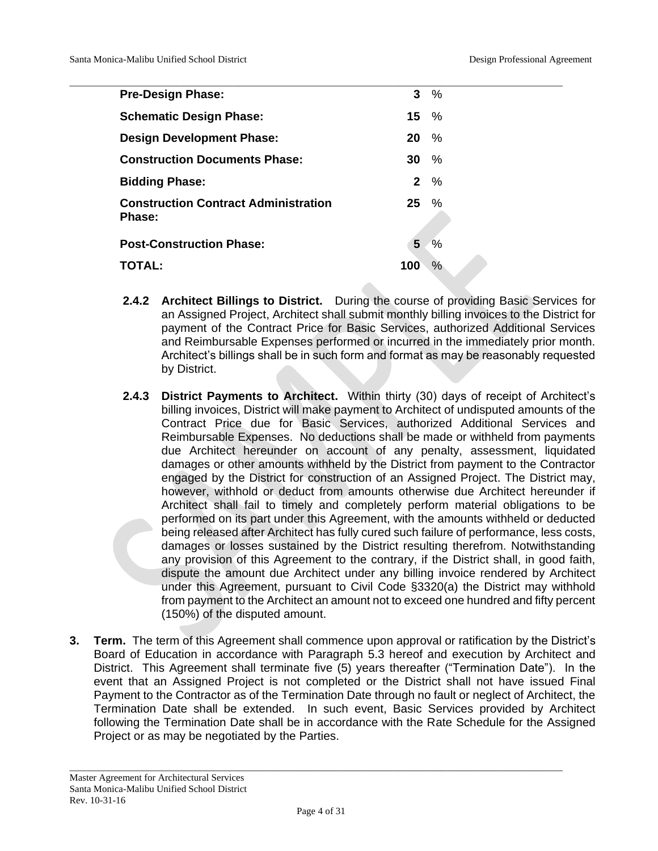| <b>Pre-Design Phase:</b>                    |                  | $3\%$          |
|---------------------------------------------|------------------|----------------|
| <b>Schematic Design Phase:</b>              | $15 \frac{9}{6}$ |                |
| <b>Design Development Phase:</b>            | $20\%$           |                |
| <b>Construction Documents Phase:</b>        | $30\%$           |                |
| <b>Bidding Phase:</b>                       |                  | $2\frac{9}{6}$ |
| <b>Construction Contract Administration</b> | $25\%$           |                |
| Phase:                                      |                  |                |
| <b>Post-Construction Phase:</b>             | 5                | $\%$           |
| TOTAL:                                      | 100              | $\%$           |
|                                             |                  |                |

- **2.4.2 Architect Billings to District.** During the course of providing Basic Services for an Assigned Project, Architect shall submit monthly billing invoices to the District for payment of the Contract Price for Basic Services, authorized Additional Services and Reimbursable Expenses performed or incurred in the immediately prior month. Architect's billings shall be in such form and format as may be reasonably requested by District.
- **2.4.3 District Payments to Architect.** Within thirty (30) days of receipt of Architect's billing invoices, District will make payment to Architect of undisputed amounts of the Contract Price due for Basic Services, authorized Additional Services and Reimbursable Expenses. No deductions shall be made or withheld from payments due Architect hereunder on account of any penalty, assessment, liquidated damages or other amounts withheld by the District from payment to the Contractor engaged by the District for construction of an Assigned Project. The District may, however, withhold or deduct from amounts otherwise due Architect hereunder if Architect shall fail to timely and completely perform material obligations to be performed on its part under this Agreement, with the amounts withheld or deducted being released after Architect has fully cured such failure of performance, less costs, damages or losses sustained by the District resulting therefrom. Notwithstanding any provision of this Agreement to the contrary, if the District shall, in good faith, dispute the amount due Architect under any billing invoice rendered by Architect under this Agreement, pursuant to Civil Code §3320(a) the District may withhold from payment to the Architect an amount not to exceed one hundred and fifty percent (150%) of the disputed amount.
- **3. Term.** The term of this Agreement shall commence upon approval or ratification by the District's Board of Education in accordance with Paragraph 5.3 hereof and execution by Architect and District. This Agreement shall terminate five (5) years thereafter ("Termination Date"). In the event that an Assigned Project is not completed or the District shall not have issued Final Payment to the Contractor as of the Termination Date through no fault or neglect of Architect, the Termination Date shall be extended. In such event, Basic Services provided by Architect following the Termination Date shall be in accordance with the Rate Schedule for the Assigned Project or as may be negotiated by the Parties.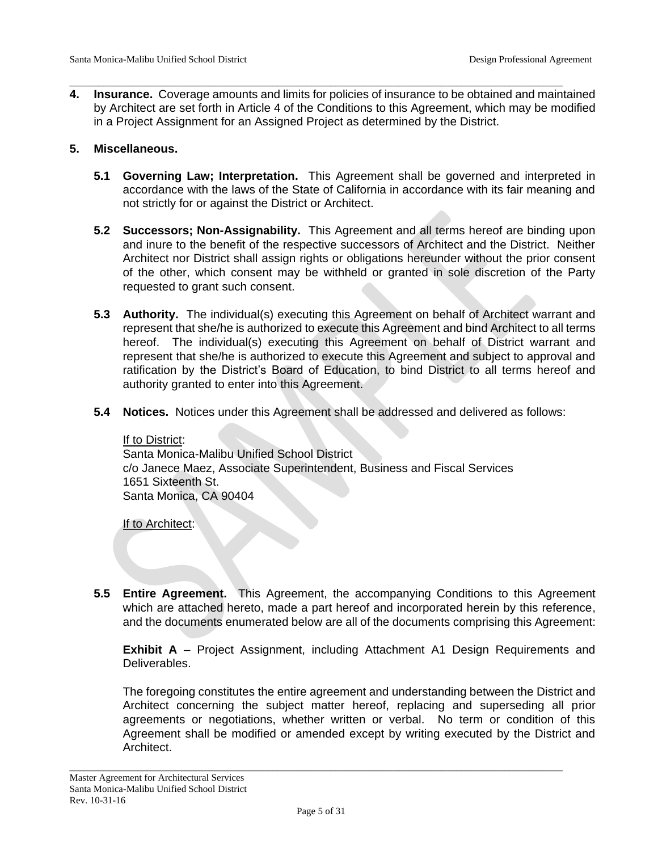**4. Insurance.** Coverage amounts and limits for policies of insurance to be obtained and maintained by Architect are set forth in Article 4 of the Conditions to this Agreement, which may be modified in a Project Assignment for an Assigned Project as determined by the District.

\_\_\_\_\_\_\_\_\_\_\_\_\_\_\_\_\_\_\_\_\_\_\_\_\_\_\_\_\_\_\_\_\_\_\_\_\_\_\_\_\_\_\_\_\_\_\_\_\_\_\_\_\_\_\_\_\_\_\_\_\_\_\_\_\_\_\_\_\_\_\_\_\_\_\_\_\_\_\_\_\_\_\_\_\_\_\_\_\_\_\_\_\_\_\_\_\_\_\_\_\_\_

### **5. Miscellaneous.**

- **5.1 Governing Law; Interpretation.** This Agreement shall be governed and interpreted in accordance with the laws of the State of California in accordance with its fair meaning and not strictly for or against the District or Architect.
- **5.2 Successors; Non-Assignability.** This Agreement and all terms hereof are binding upon and inure to the benefit of the respective successors of Architect and the District. Neither Architect nor District shall assign rights or obligations hereunder without the prior consent of the other, which consent may be withheld or granted in sole discretion of the Party requested to grant such consent.
- **5.3 Authority.** The individual(s) executing this Agreement on behalf of Architect warrant and represent that she/he is authorized to execute this Agreement and bind Architect to all terms hereof. The individual(s) executing this Agreement on behalf of District warrant and represent that she/he is authorized to execute this Agreement and subject to approval and ratification by the District's Board of Education, to bind District to all terms hereof and authority granted to enter into this Agreement.
- **5.4 Notices.** Notices under this Agreement shall be addressed and delivered as follows:

#### If to District:

Santa Monica-Malibu Unified School District c/o Janece Maez, Associate Superintendent, Business and Fiscal Services 1651 Sixteenth St. Santa Monica, CA 90404

If to Architect:

**5.5 Entire Agreement.** This Agreement, the accompanying Conditions to this Agreement which are attached hereto, made a part hereof and incorporated herein by this reference, and the documents enumerated below are all of the documents comprising this Agreement:

**Exhibit A** – Project Assignment, including Attachment A1 Design Requirements and Deliverables.

The foregoing constitutes the entire agreement and understanding between the District and Architect concerning the subject matter hereof, replacing and superseding all prior agreements or negotiations, whether written or verbal. No term or condition of this Agreement shall be modified or amended except by writing executed by the District and Architect.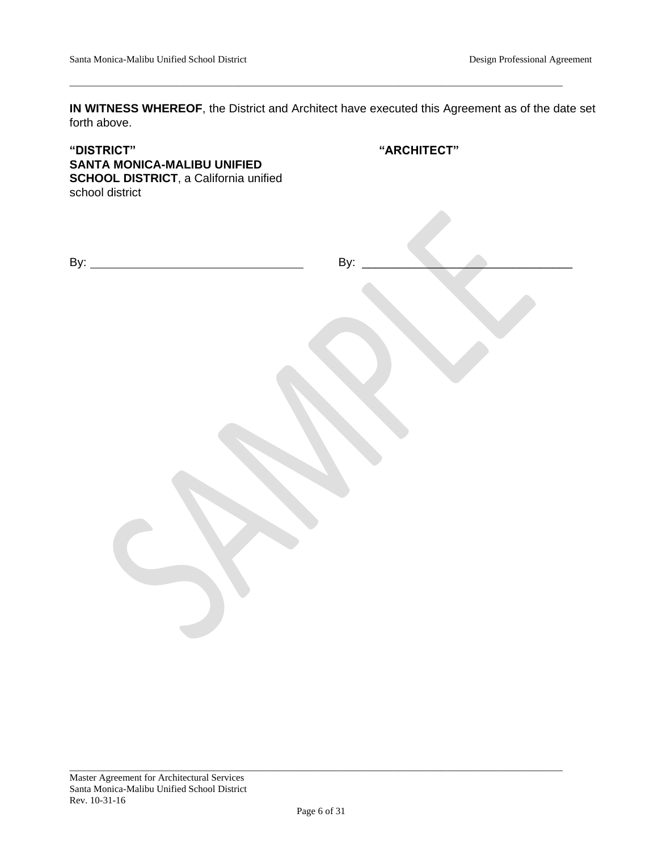**IN WITNESS WHEREOF**, the District and Architect have executed this Agreement as of the date set forth above.

\_\_\_\_\_\_\_\_\_\_\_\_\_\_\_\_\_\_\_\_\_\_\_\_\_\_\_\_\_\_\_\_\_\_\_\_\_\_\_\_\_\_\_\_\_\_\_\_\_\_\_\_\_\_\_\_\_\_\_\_\_\_\_\_\_\_\_\_\_\_\_\_\_\_\_\_\_\_\_\_\_\_\_\_\_\_\_\_\_\_\_\_\_\_\_\_\_\_\_\_\_\_

| "DISTRICT"<br>SANTA MONICA-MALIBU UNIFIED<br><b>SCHOOL DISTRICT, a California unified</b><br>school district | "ARCHITECT" |
|--------------------------------------------------------------------------------------------------------------|-------------|
|                                                                                                              |             |
|                                                                                                              | By:         |
|                                                                                                              |             |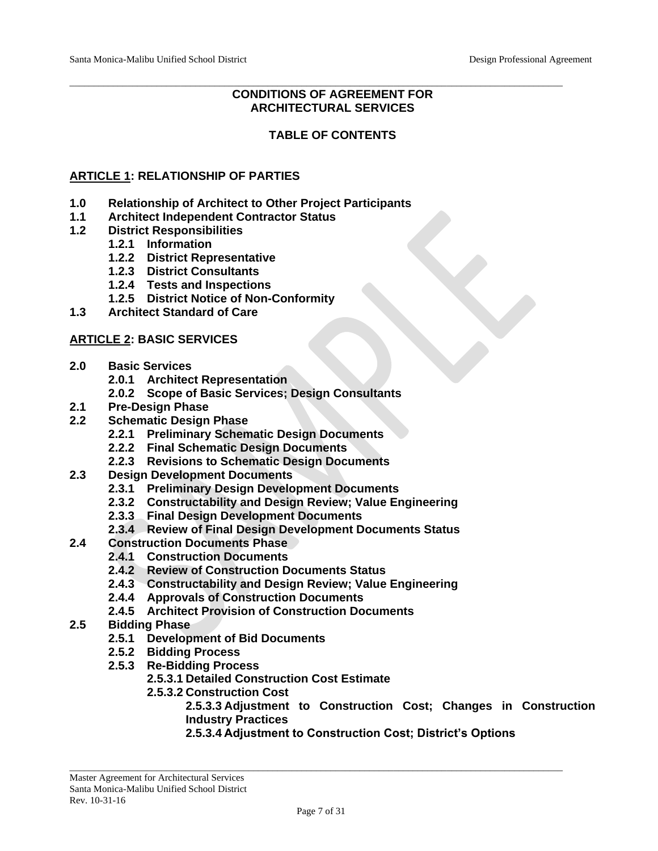# **CONDITIONS OF AGREEMENT FOR ARCHITECTURAL SERVICES**

\_\_\_\_\_\_\_\_\_\_\_\_\_\_\_\_\_\_\_\_\_\_\_\_\_\_\_\_\_\_\_\_\_\_\_\_\_\_\_\_\_\_\_\_\_\_\_\_\_\_\_\_\_\_\_\_\_\_\_\_\_\_\_\_\_\_\_\_\_\_\_\_\_\_\_\_\_\_\_\_\_\_\_\_\_\_\_\_\_\_\_\_\_\_\_\_\_\_\_\_\_\_

# **TABLE OF CONTENTS**

## **ARTICLE 1: RELATIONSHIP OF PARTIES**

- **1.0 Relationship of Architect to Other Project Participants**
- **1.1 Architect Independent Contractor Status**
- **1.2 District Responsibilities**
	- **1.2.1 Information**
	- **1.2.2 District Representative**
	- **1.2.3 District Consultants**
	- **1.2.4 Tests and Inspections**
	- **1.2.5 District Notice of Non-Conformity**
- **1.3 Architect Standard of Care**

#### **ARTICLE 2: BASIC SERVICES**

- **2.0 Basic Services**
	- **2.0.1 Architect Representation**
	- **2.0.2 Scope of Basic Services; Design Consultants**
- **2.1 Pre-Design Phase**
- **2.2 Schematic Design Phase**
	- **2.2.1 Preliminary Schematic Design Documents**
	- **2.2.2 Final Schematic Design Documents**
	- **2.2.3 Revisions to Schematic Design Documents**
- **2.3 Design Development Documents**
	- **2.3.1 Preliminary Design Development Documents**
	- **2.3.2 Constructability and Design Review; Value Engineering**
	- **2.3.3 Final Design Development Documents**
	- **2.3.4 Review of Final Design Development Documents Status**
- **2.4 Construction Documents Phase**
	- **2.4.1 Construction Documents**
	- **2.4.2 Review of Construction Documents Status**
	- **2.4.3 Constructability and Design Review; Value Engineering**
	- **2.4.4 Approvals of Construction Documents**
	- **2.4.5 Architect Provision of Construction Documents**
- **2.5 Bidding Phase**
	- **2.5.1 Development of Bid Documents**
	- **2.5.2 Bidding Process**
	- **2.5.3 Re-Bidding Process**
		- **2.5.3.1 Detailed Construction Cost Estimate**
		- **2.5.3.2 Construction Cost**
			- **2.5.3.3 Adjustment to Construction Cost; Changes in Construction Industry Practices**
				- **2.5.3.4 Adjustment to Construction Cost; District's Options**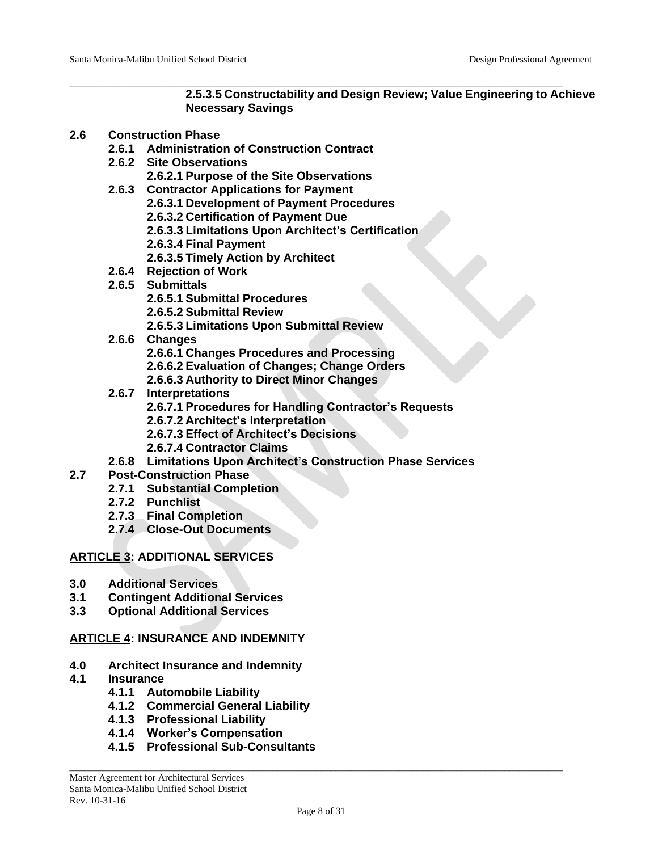### **2.5.3.5 Constructability and Design Review; Value Engineering to Achieve Necessary Savings**

### **2.6 Construction Phase**

- **2.6.1 Administration of Construction Contract**
- **2.6.2 Site Observations**
	- **2.6.2.1 Purpose of the Site Observations**
- **2.6.3 Contractor Applications for Payment 2.6.3.1 Development of Payment Procedures 2.6.3.2 Certification of Payment Due**
	- **2.6.3.3 Limitations Upon Architect's Certification**

\_\_\_\_\_\_\_\_\_\_\_\_\_\_\_\_\_\_\_\_\_\_\_\_\_\_\_\_\_\_\_\_\_\_\_\_\_\_\_\_\_\_\_\_\_\_\_\_\_\_\_\_\_\_\_\_\_\_\_\_\_\_\_\_\_\_\_\_\_\_\_\_\_\_\_\_\_\_\_\_\_\_\_\_\_\_\_\_\_\_\_\_\_\_\_\_\_\_\_\_\_\_

- **2.6.3.4 Final Payment**
- **2.6.3.5 Timely Action by Architect**
- **2.6.4 Rejection of Work**
- **2.6.5 Submittals**
	- **2.6.5.1 Submittal Procedures**
	- **2.6.5.2 Submittal Review**
	- **2.6.5.3 Limitations Upon Submittal Review**
- **2.6.6 Changes**
	- **2.6.6.1 Changes Procedures and Processing**
	- **2.6.6.2 Evaluation of Changes; Change Orders**
	- **2.6.6.3 Authority to Direct Minor Changes**
- **2.6.7 Interpretations**
	- **2.6.7.1 Procedures for Handling Contractor's Requests**
	- **2.6.7.2 Architect's Interpretation**
	- **2.6.7.3 Effect of Architect's Decisions**
	- **2.6.7.4 Contractor Claims**
- **2.6.8 Limitations Upon Architect's Construction Phase Services**
- **2.7 Post-Construction Phase**
	- **2.7.1 Substantial Completion**
		- **2.7.2 Punchlist**
		- **2.7.3 Final Completion**
		- **2.7.4 Close-Out Documents**

# **ARTICLE 3: ADDITIONAL SERVICES**

- **3.0 Additional Services**
- **3.1 Contingent Additional Services**
- **3.3 Optional Additional Services**

# **ARTICLE 4: INSURANCE AND INDEMNITY**

- **4.0 Architect Insurance and Indemnity**
- **4.1 Insurance**
	- **4.1.1 Automobile Liability**
	- **4.1.2 Commercial General Liability**
	- **4.1.3 Professional Liability**
	- **4.1.4 Worker's Compensation**
	- **4.1.5 Professional Sub-Consultants**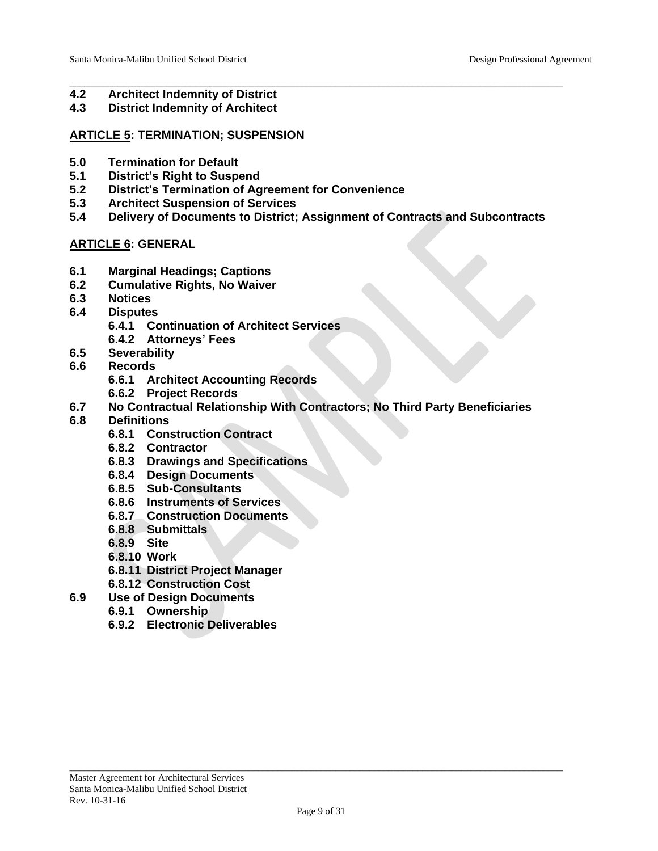- \_\_\_\_\_\_\_\_\_\_\_\_\_\_\_\_\_\_\_\_\_\_\_\_\_\_\_\_\_\_\_\_\_\_\_\_\_\_\_\_\_\_\_\_\_\_\_\_\_\_\_\_\_\_\_\_\_\_\_\_\_\_\_\_\_\_\_\_\_\_\_\_\_\_\_\_\_\_\_\_\_\_\_\_\_\_\_\_\_\_\_\_\_\_\_\_\_\_\_\_\_\_ **4.2 Architect Indemnity of District**
- **4.3 District Indemnity of Architect**

### **ARTICLE 5: TERMINATION; SUSPENSION**

- **5.0 Termination for Default**
- **5.1 District's Right to Suspend**
- **5.2 District's Termination of Agreement for Convenience**
- **5.3 Architect Suspension of Services**
- **5.4 Delivery of Documents to District; Assignment of Contracts and Subcontracts**

# **ARTICLE 6: GENERAL**

- **6.1 Marginal Headings; Captions**
- **6.2 Cumulative Rights, No Waiver**
- **6.3 Notices**
- **6.4 Disputes**
	- **6.4.1 Continuation of Architect Services**
	- **6.4.2 Attorneys' Fees**
- **6.5 Severability**
- **6.6 Records**
	- **6.6.1 Architect Accounting Records**
	- **6.6.2 Project Records**
- **6.7 No Contractual Relationship With Contractors; No Third Party Beneficiaries**
- **6.8 Definitions**
	- **6.8.1 Construction Contract**
	- **6.8.2 Contractor**
	- **6.8.3 Drawings and Specifications**
	- **6.8.4 Design Documents**
	- **6.8.5 Sub-Consultants**
	- **6.8.6 Instruments of Services**
	- **6.8.7 Construction Documents**
	- **6.8.8 Submittals**
	- **6.8.9 Site**
	- **6.8.10 Work**
	- **6.8.11 District Project Manager**
	- **6.8.12 Construction Cost**
- **6.9 Use of Design Documents**
	- **6.9.1 Ownership**
	- **6.9.2 Electronic Deliverables**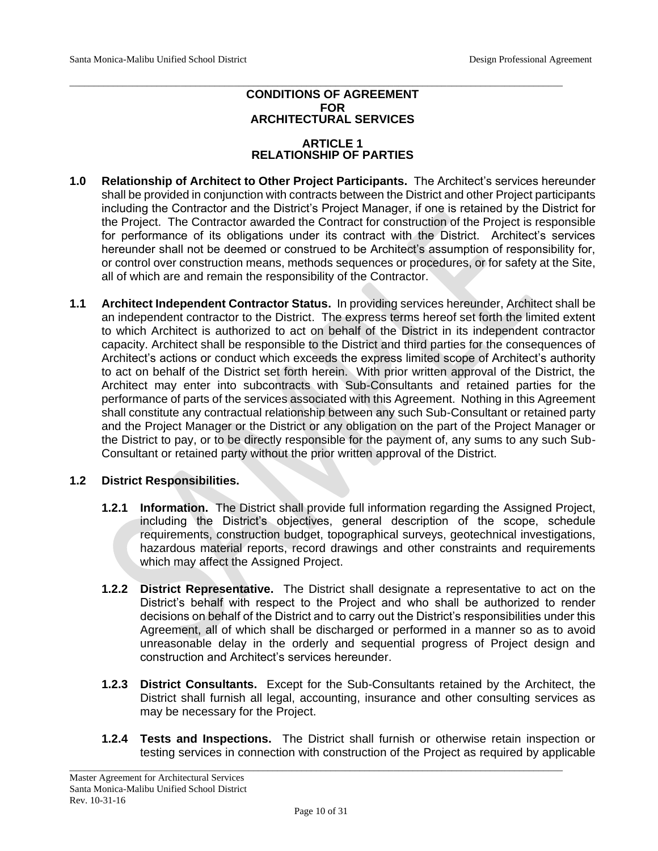### **CONDITIONS OF AGREEMENT FOR ARCHITECTURAL SERVICES**

\_\_\_\_\_\_\_\_\_\_\_\_\_\_\_\_\_\_\_\_\_\_\_\_\_\_\_\_\_\_\_\_\_\_\_\_\_\_\_\_\_\_\_\_\_\_\_\_\_\_\_\_\_\_\_\_\_\_\_\_\_\_\_\_\_\_\_\_\_\_\_\_\_\_\_\_\_\_\_\_\_\_\_\_\_\_\_\_\_\_\_\_\_\_\_\_\_\_\_\_\_\_

### **ARTICLE 1 RELATIONSHIP OF PARTIES**

- **1.0 Relationship of Architect to Other Project Participants.** The Architect's services hereunder shall be provided in conjunction with contracts between the District and other Project participants including the Contractor and the District's Project Manager, if one is retained by the District for the Project. The Contractor awarded the Contract for construction of the Project is responsible for performance of its obligations under its contract with the District. Architect's services hereunder shall not be deemed or construed to be Architect's assumption of responsibility for, or control over construction means, methods sequences or procedures, or for safety at the Site, all of which are and remain the responsibility of the Contractor.
- **1.1 Architect Independent Contractor Status.** In providing services hereunder, Architect shall be an independent contractor to the District. The express terms hereof set forth the limited extent to which Architect is authorized to act on behalf of the District in its independent contractor capacity. Architect shall be responsible to the District and third parties for the consequences of Architect's actions or conduct which exceeds the express limited scope of Architect's authority to act on behalf of the District set forth herein. With prior written approval of the District, the Architect may enter into subcontracts with Sub-Consultants and retained parties for the performance of parts of the services associated with this Agreement. Nothing in this Agreement shall constitute any contractual relationship between any such Sub-Consultant or retained party and the Project Manager or the District or any obligation on the part of the Project Manager or the District to pay, or to be directly responsible for the payment of, any sums to any such Sub-Consultant or retained party without the prior written approval of the District.

#### **1.2 District Responsibilities.**

- **1.2.1 Information.** The District shall provide full information regarding the Assigned Project, including the District's objectives, general description of the scope, schedule requirements, construction budget, topographical surveys, geotechnical investigations, hazardous material reports, record drawings and other constraints and requirements which may affect the Assigned Project.
- **1.2.2 District Representative.** The District shall designate a representative to act on the District's behalf with respect to the Project and who shall be authorized to render decisions on behalf of the District and to carry out the District's responsibilities under this Agreement, all of which shall be discharged or performed in a manner so as to avoid unreasonable delay in the orderly and sequential progress of Project design and construction and Architect's services hereunder.
- **1.2.3 District Consultants.** Except for the Sub-Consultants retained by the Architect, the District shall furnish all legal, accounting, insurance and other consulting services as may be necessary for the Project.
- **1.2.4 Tests and Inspections.** The District shall furnish or otherwise retain inspection or testing services in connection with construction of the Project as required by applicable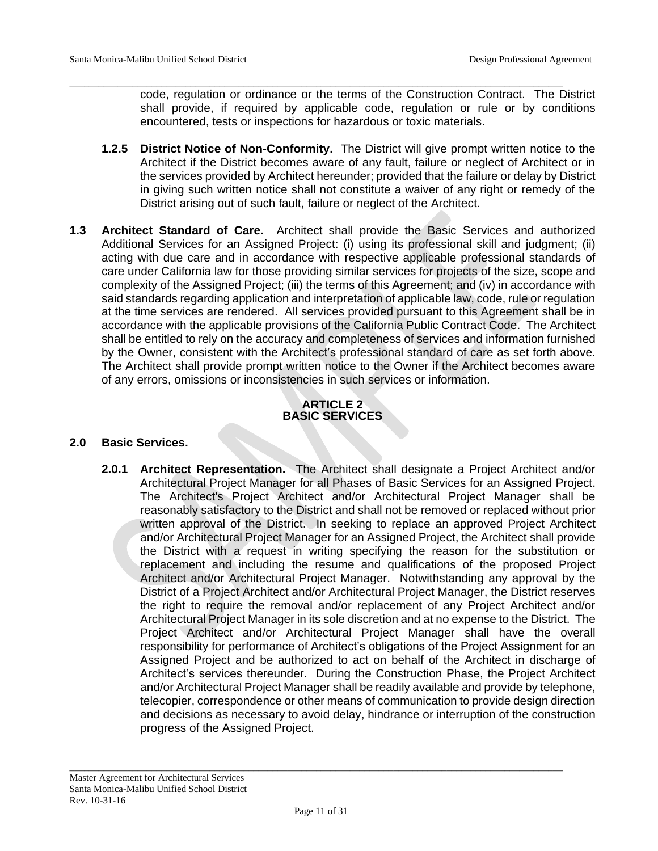code, regulation or ordinance or the terms of the Construction Contract. The District shall provide, if required by applicable code, regulation or rule or by conditions encountered, tests or inspections for hazardous or toxic materials.

**1.2.5 District Notice of Non-Conformity.** The District will give prompt written notice to the Architect if the District becomes aware of any fault, failure or neglect of Architect or in the services provided by Architect hereunder; provided that the failure or delay by District in giving such written notice shall not constitute a waiver of any right or remedy of the District arising out of such fault, failure or neglect of the Architect.

\_\_\_\_\_\_\_\_\_\_\_\_\_\_\_\_\_\_\_\_\_\_\_\_\_\_\_\_\_\_\_\_\_\_\_\_\_\_\_\_\_\_\_\_\_\_\_\_\_\_\_\_\_\_\_\_\_\_\_\_\_\_\_\_\_\_\_\_\_\_\_\_\_\_\_\_\_\_\_\_\_\_\_\_\_\_\_\_\_\_\_\_\_\_\_\_\_\_\_\_\_\_

**1.3 Architect Standard of Care.** Architect shall provide the Basic Services and authorized Additional Services for an Assigned Project: (i) using its professional skill and judgment; (ii) acting with due care and in accordance with respective applicable professional standards of care under California law for those providing similar services for projects of the size, scope and complexity of the Assigned Project; (iii) the terms of this Agreement; and (iv) in accordance with said standards regarding application and interpretation of applicable law, code, rule or regulation at the time services are rendered. All services provided pursuant to this Agreement shall be in accordance with the applicable provisions of the California Public Contract Code. The Architect shall be entitled to rely on the accuracy and completeness of services and information furnished by the Owner, consistent with the Architect's professional standard of care as set forth above. The Architect shall provide prompt written notice to the Owner if the Architect becomes aware of any errors, omissions or inconsistencies in such services or information.

#### **ARTICLE 2 BASIC SERVICES**

#### **2.0 Basic Services.**

**2.0.1 Architect Representation.** The Architect shall designate a Project Architect and/or Architectural Project Manager for all Phases of Basic Services for an Assigned Project. The Architect's Project Architect and/or Architectural Project Manager shall be reasonably satisfactory to the District and shall not be removed or replaced without prior written approval of the District. In seeking to replace an approved Project Architect and/or Architectural Project Manager for an Assigned Project, the Architect shall provide the District with a request in writing specifying the reason for the substitution or replacement and including the resume and qualifications of the proposed Project Architect and/or Architectural Project Manager. Notwithstanding any approval by the District of a Project Architect and/or Architectural Project Manager, the District reserves the right to require the removal and/or replacement of any Project Architect and/or Architectural Project Manager in its sole discretion and at no expense to the District. The Project Architect and/or Architectural Project Manager shall have the overall responsibility for performance of Architect's obligations of the Project Assignment for an Assigned Project and be authorized to act on behalf of the Architect in discharge of Architect's services thereunder. During the Construction Phase, the Project Architect and/or Architectural Project Manager shall be readily available and provide by telephone, telecopier, correspondence or other means of communication to provide design direction and decisions as necessary to avoid delay, hindrance or interruption of the construction progress of the Assigned Project.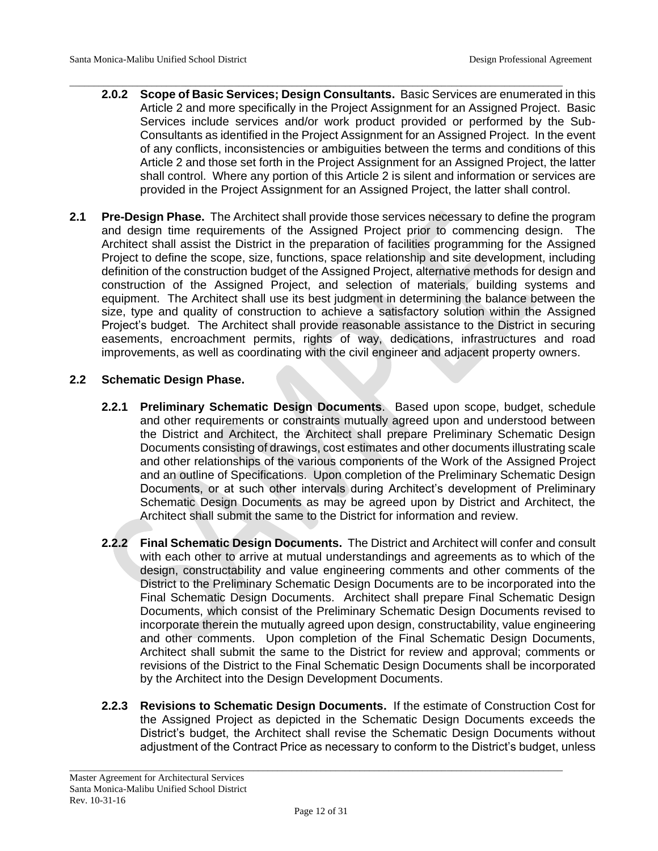- \_\_\_\_\_\_\_\_\_\_\_\_\_\_\_\_\_\_\_\_\_\_\_\_\_\_\_\_\_\_\_\_\_\_\_\_\_\_\_\_\_\_\_\_\_\_\_\_\_\_\_\_\_\_\_\_\_\_\_\_\_\_\_\_\_\_\_\_\_\_\_\_\_\_\_\_\_\_\_\_\_\_\_\_\_\_\_\_\_\_\_\_\_\_\_\_\_\_\_\_\_\_ **2.0.2 Scope of Basic Services; Design Consultants.** Basic Services are enumerated in this Article 2 and more specifically in the Project Assignment for an Assigned Project. Basic Services include services and/or work product provided or performed by the Sub-Consultants as identified in the Project Assignment for an Assigned Project. In the event of any conflicts, inconsistencies or ambiguities between the terms and conditions of this Article 2 and those set forth in the Project Assignment for an Assigned Project, the latter shall control. Where any portion of this Article 2 is silent and information or services are provided in the Project Assignment for an Assigned Project, the latter shall control.
- **2.1 Pre-Design Phase.** The Architect shall provide those services necessary to define the program and design time requirements of the Assigned Project prior to commencing design. The Architect shall assist the District in the preparation of facilities programming for the Assigned Project to define the scope, size, functions, space relationship and site development, including definition of the construction budget of the Assigned Project, alternative methods for design and construction of the Assigned Project, and selection of materials, building systems and equipment. The Architect shall use its best judgment in determining the balance between the size, type and quality of construction to achieve a satisfactory solution within the Assigned Project's budget. The Architect shall provide reasonable assistance to the District in securing easements, encroachment permits, rights of way, dedications, infrastructures and road improvements, as well as coordinating with the civil engineer and adjacent property owners.

# **2.2 Schematic Design Phase.**

- **2.2.1 Preliminary Schematic Design Documents**. Based upon scope, budget, schedule and other requirements or constraints mutually agreed upon and understood between the District and Architect, the Architect shall prepare Preliminary Schematic Design Documents consisting of drawings, cost estimates and other documents illustrating scale and other relationships of the various components of the Work of the Assigned Project and an outline of Specifications. Upon completion of the Preliminary Schematic Design Documents, or at such other intervals during Architect's development of Preliminary Schematic Design Documents as may be agreed upon by District and Architect, the Architect shall submit the same to the District for information and review.
- **2.2.2 Final Schematic Design Documents.** The District and Architect will confer and consult with each other to arrive at mutual understandings and agreements as to which of the design, constructability and value engineering comments and other comments of the District to the Preliminary Schematic Design Documents are to be incorporated into the Final Schematic Design Documents. Architect shall prepare Final Schematic Design Documents, which consist of the Preliminary Schematic Design Documents revised to incorporate therein the mutually agreed upon design, constructability, value engineering and other comments. Upon completion of the Final Schematic Design Documents, Architect shall submit the same to the District for review and approval; comments or revisions of the District to the Final Schematic Design Documents shall be incorporated by the Architect into the Design Development Documents.
- **2.2.3 Revisions to Schematic Design Documents.** If the estimate of Construction Cost for the Assigned Project as depicted in the Schematic Design Documents exceeds the District's budget, the Architect shall revise the Schematic Design Documents without adjustment of the Contract Price as necessary to conform to the District's budget, unless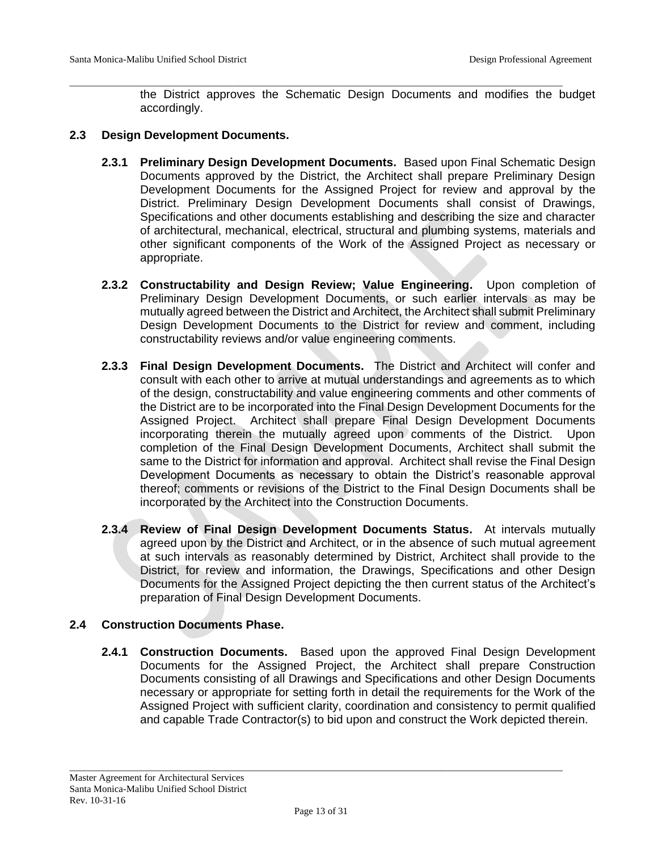the District approves the Schematic Design Documents and modifies the budget accordingly.

#### **2.3 Design Development Documents.**

**2.3.1 Preliminary Design Development Documents.** Based upon Final Schematic Design Documents approved by the District, the Architect shall prepare Preliminary Design Development Documents for the Assigned Project for review and approval by the District. Preliminary Design Development Documents shall consist of Drawings, Specifications and other documents establishing and describing the size and character of architectural, mechanical, electrical, structural and plumbing systems, materials and other significant components of the Work of the Assigned Project as necessary or appropriate.

\_\_\_\_\_\_\_\_\_\_\_\_\_\_\_\_\_\_\_\_\_\_\_\_\_\_\_\_\_\_\_\_\_\_\_\_\_\_\_\_\_\_\_\_\_\_\_\_\_\_\_\_\_\_\_\_\_\_\_\_\_\_\_\_\_\_\_\_\_\_\_\_\_\_\_\_\_\_\_\_\_\_\_\_\_\_\_\_\_\_\_\_\_\_\_\_\_\_\_\_\_\_

- **2.3.2 Constructability and Design Review; Value Engineering.** Upon completion of Preliminary Design Development Documents, or such earlier intervals as may be mutually agreed between the District and Architect, the Architect shall submit Preliminary Design Development Documents to the District for review and comment, including constructability reviews and/or value engineering comments.
- **2.3.3 Final Design Development Documents.** The District and Architect will confer and consult with each other to arrive at mutual understandings and agreements as to which of the design, constructability and value engineering comments and other comments of the District are to be incorporated into the Final Design Development Documents for the Assigned Project. Architect shall prepare Final Design Development Documents incorporating therein the mutually agreed upon comments of the District. Upon completion of the Final Design Development Documents, Architect shall submit the same to the District for information and approval. Architect shall revise the Final Design Development Documents as necessary to obtain the District's reasonable approval thereof; comments or revisions of the District to the Final Design Documents shall be incorporated by the Architect into the Construction Documents.
- **2.3.4 Review of Final Design Development Documents Status.** At intervals mutually agreed upon by the District and Architect, or in the absence of such mutual agreement at such intervals as reasonably determined by District, Architect shall provide to the District, for review and information, the Drawings, Specifications and other Design Documents for the Assigned Project depicting the then current status of the Architect's preparation of Final Design Development Documents.

#### **2.4 Construction Documents Phase.**

**2.4.1 Construction Documents.** Based upon the approved Final Design Development Documents for the Assigned Project, the Architect shall prepare Construction Documents consisting of all Drawings and Specifications and other Design Documents necessary or appropriate for setting forth in detail the requirements for the Work of the Assigned Project with sufficient clarity, coordination and consistency to permit qualified and capable Trade Contractor(s) to bid upon and construct the Work depicted therein.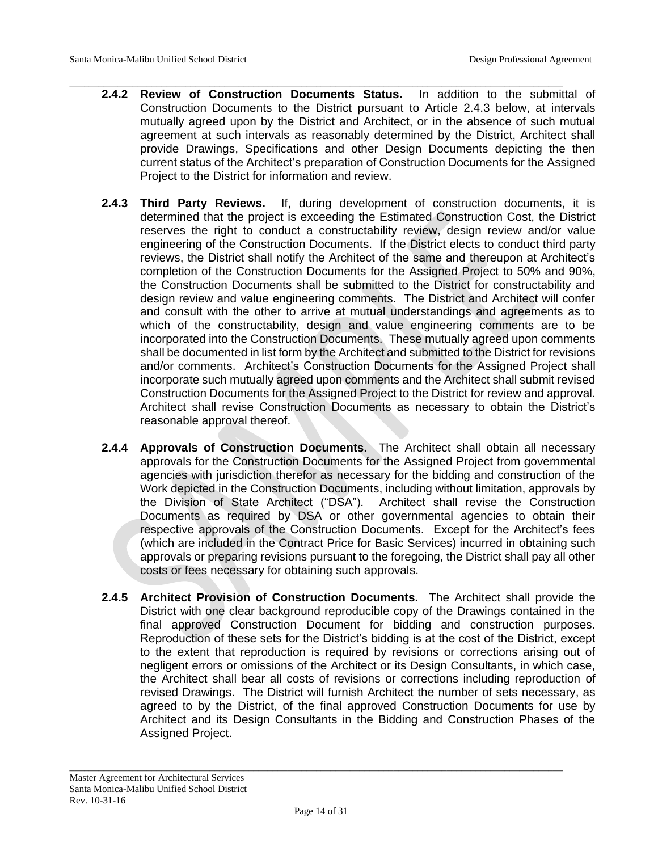**2.4.2 Review of Construction Documents Status.** In addition to the submittal of Construction Documents to the District pursuant to Article 2.4.3 below, at intervals mutually agreed upon by the District and Architect, or in the absence of such mutual agreement at such intervals as reasonably determined by the District, Architect shall provide Drawings, Specifications and other Design Documents depicting the then current status of the Architect's preparation of Construction Documents for the Assigned Project to the District for information and review.

\_\_\_\_\_\_\_\_\_\_\_\_\_\_\_\_\_\_\_\_\_\_\_\_\_\_\_\_\_\_\_\_\_\_\_\_\_\_\_\_\_\_\_\_\_\_\_\_\_\_\_\_\_\_\_\_\_\_\_\_\_\_\_\_\_\_\_\_\_\_\_\_\_\_\_\_\_\_\_\_\_\_\_\_\_\_\_\_\_\_\_\_\_\_\_\_\_\_\_\_\_\_

- **2.4.3 Third Party Reviews.** If, during development of construction documents, it is determined that the project is exceeding the Estimated Construction Cost, the District reserves the right to conduct a constructability review, design review and/or value engineering of the Construction Documents. If the District elects to conduct third party reviews, the District shall notify the Architect of the same and thereupon at Architect's completion of the Construction Documents for the Assigned Project to 50% and 90%, the Construction Documents shall be submitted to the District for constructability and design review and value engineering comments. The District and Architect will confer and consult with the other to arrive at mutual understandings and agreements as to which of the constructability, design and value engineering comments are to be incorporated into the Construction Documents. These mutually agreed upon comments shall be documented in list form by the Architect and submitted to the District for revisions and/or comments. Architect's Construction Documents for the Assigned Project shall incorporate such mutually agreed upon comments and the Architect shall submit revised Construction Documents for the Assigned Project to the District for review and approval. Architect shall revise Construction Documents as necessary to obtain the District's reasonable approval thereof.
- **2.4.4 Approvals of Construction Documents.** The Architect shall obtain all necessary approvals for the Construction Documents for the Assigned Project from governmental agencies with jurisdiction therefor as necessary for the bidding and construction of the Work depicted in the Construction Documents, including without limitation, approvals by the Division of State Architect ("DSA"). Architect shall revise the Construction Documents as required by DSA or other governmental agencies to obtain their respective approvals of the Construction Documents. Except for the Architect's fees (which are included in the Contract Price for Basic Services) incurred in obtaining such approvals or preparing revisions pursuant to the foregoing, the District shall pay all other costs or fees necessary for obtaining such approvals.
- **2.4.5 Architect Provision of Construction Documents.** The Architect shall provide the District with one clear background reproducible copy of the Drawings contained in the final approved Construction Document for bidding and construction purposes. Reproduction of these sets for the District's bidding is at the cost of the District, except to the extent that reproduction is required by revisions or corrections arising out of negligent errors or omissions of the Architect or its Design Consultants, in which case, the Architect shall bear all costs of revisions or corrections including reproduction of revised Drawings. The District will furnish Architect the number of sets necessary, as agreed to by the District, of the final approved Construction Documents for use by Architect and its Design Consultants in the Bidding and Construction Phases of the Assigned Project.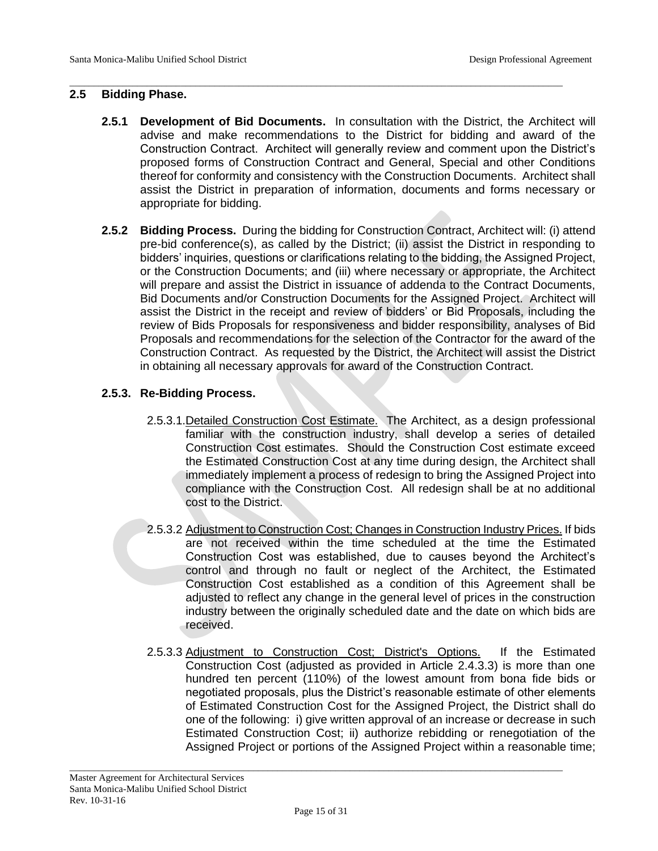### **2.5 Bidding Phase.**

**2.5.1 Development of Bid Documents.** In consultation with the District, the Architect will advise and make recommendations to the District for bidding and award of the Construction Contract. Architect will generally review and comment upon the District's proposed forms of Construction Contract and General, Special and other Conditions thereof for conformity and consistency with the Construction Documents. Architect shall assist the District in preparation of information, documents and forms necessary or appropriate for bidding.

\_\_\_\_\_\_\_\_\_\_\_\_\_\_\_\_\_\_\_\_\_\_\_\_\_\_\_\_\_\_\_\_\_\_\_\_\_\_\_\_\_\_\_\_\_\_\_\_\_\_\_\_\_\_\_\_\_\_\_\_\_\_\_\_\_\_\_\_\_\_\_\_\_\_\_\_\_\_\_\_\_\_\_\_\_\_\_\_\_\_\_\_\_\_\_\_\_\_\_\_\_\_

**2.5.2 Bidding Process.** During the bidding for Construction Contract, Architect will: (i) attend pre-bid conference(s), as called by the District; (ii) assist the District in responding to bidders' inquiries, questions or clarifications relating to the bidding, the Assigned Project, or the Construction Documents; and (iii) where necessary or appropriate, the Architect will prepare and assist the District in issuance of addenda to the Contract Documents, Bid Documents and/or Construction Documents for the Assigned Project. Architect will assist the District in the receipt and review of bidders' or Bid Proposals, including the review of Bids Proposals for responsiveness and bidder responsibility, analyses of Bid Proposals and recommendations for the selection of the Contractor for the award of the Construction Contract. As requested by the District, the Architect will assist the District in obtaining all necessary approvals for award of the Construction Contract.

# **2.5.3. Re-Bidding Process.**

- 2.5.3.1.Detailed Construction Cost Estimate.The Architect, as a design professional familiar with the construction industry, shall develop a series of detailed Construction Cost estimates. Should the Construction Cost estimate exceed the Estimated Construction Cost at any time during design, the Architect shall immediately implement a process of redesign to bring the Assigned Project into compliance with the Construction Cost. All redesign shall be at no additional cost to the District.
- 2.5.3.2 Adjustment to Construction Cost; Changes in Construction Industry Prices. If bids are not received within the time scheduled at the time the Estimated Construction Cost was established, due to causes beyond the Architect's control and through no fault or neglect of the Architect, the Estimated Construction Cost established as a condition of this Agreement shall be adjusted to reflect any change in the general level of prices in the construction industry between the originally scheduled date and the date on which bids are received.
- 2.5.3.3 Adjustment to Construction Cost; District's Options.If the Estimated Construction Cost (adjusted as provided in Article 2.4.3.3) is more than one hundred ten percent (110%) of the lowest amount from bona fide bids or negotiated proposals, plus the District's reasonable estimate of other elements of Estimated Construction Cost for the Assigned Project, the District shall do one of the following: i) give written approval of an increase or decrease in such Estimated Construction Cost; ii) authorize rebidding or renegotiation of the Assigned Project or portions of the Assigned Project within a reasonable time;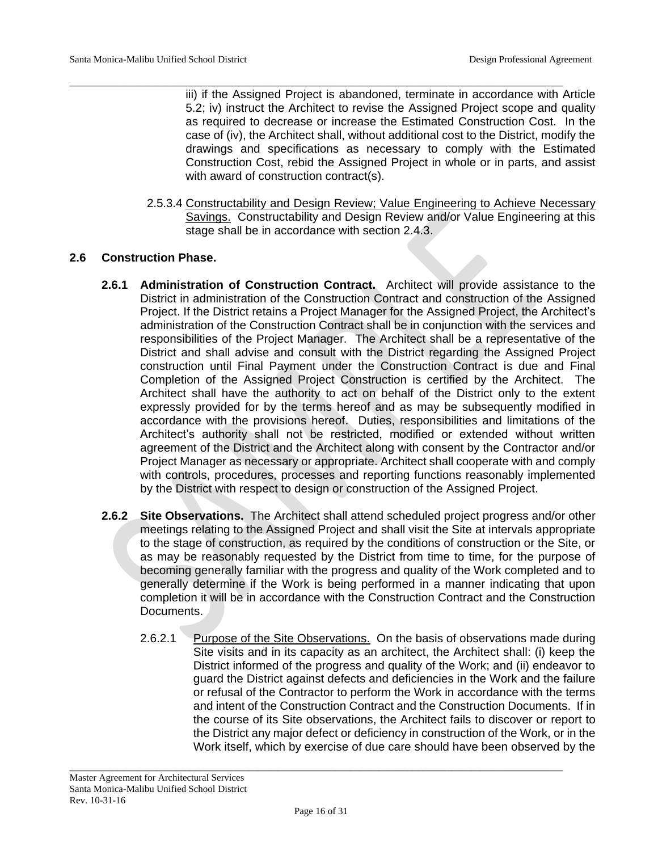\_\_\_\_\_\_\_\_\_\_\_\_\_\_\_\_\_\_\_\_\_\_\_\_\_\_\_\_\_\_\_\_\_\_\_\_\_\_\_\_\_\_\_\_\_\_\_\_\_\_\_\_\_\_\_\_\_\_\_\_\_\_\_\_\_\_\_\_\_\_\_\_\_\_\_\_\_\_\_\_\_\_\_\_\_\_\_\_\_\_\_\_\_\_\_\_\_\_\_\_\_\_ iii) if the Assigned Project is abandoned, terminate in accordance with Article 5.2; iv) instruct the Architect to revise the Assigned Project scope and quality as required to decrease or increase the Estimated Construction Cost. In the case of (iv), the Architect shall, without additional cost to the District, modify the drawings and specifications as necessary to comply with the Estimated Construction Cost, rebid the Assigned Project in whole or in parts, and assist with award of construction contract(s).

> 2.5.3.4 Constructability and Design Review; Value Engineering to Achieve Necessary Savings. Constructability and Design Review and/or Value Engineering at this stage shall be in accordance with section 2.4.3.

### **2.6 Construction Phase.**

- **2.6.1 Administration of Construction Contract.** Architect will provide assistance to the District in administration of the Construction Contract and construction of the Assigned Project. If the District retains a Project Manager for the Assigned Project, the Architect's administration of the Construction Contract shall be in conjunction with the services and responsibilities of the Project Manager. The Architect shall be a representative of the District and shall advise and consult with the District regarding the Assigned Project construction until Final Payment under the Construction Contract is due and Final Completion of the Assigned Project Construction is certified by the Architect. The Architect shall have the authority to act on behalf of the District only to the extent expressly provided for by the terms hereof and as may be subsequently modified in accordance with the provisions hereof. Duties, responsibilities and limitations of the Architect's authority shall not be restricted, modified or extended without written agreement of the District and the Architect along with consent by the Contractor and/or Project Manager as necessary or appropriate. Architect shall cooperate with and comply with controls, procedures, processes and reporting functions reasonably implemented by the District with respect to design or construction of the Assigned Project.
- **2.6.2 Site Observations.** The Architect shall attend scheduled project progress and/or other meetings relating to the Assigned Project and shall visit the Site at intervals appropriate to the stage of construction, as required by the conditions of construction or the Site, or as may be reasonably requested by the District from time to time, for the purpose of becoming generally familiar with the progress and quality of the Work completed and to generally determine if the Work is being performed in a manner indicating that upon completion it will be in accordance with the Construction Contract and the Construction Documents.
	- 2.6.2.1 Purpose of the Site Observations. On the basis of observations made during Site visits and in its capacity as an architect, the Architect shall: (i) keep the District informed of the progress and quality of the Work; and (ii) endeavor to guard the District against defects and deficiencies in the Work and the failure or refusal of the Contractor to perform the Work in accordance with the terms and intent of the Construction Contract and the Construction Documents. If in the course of its Site observations, the Architect fails to discover or report to the District any major defect or deficiency in construction of the Work, or in the Work itself, which by exercise of due care should have been observed by the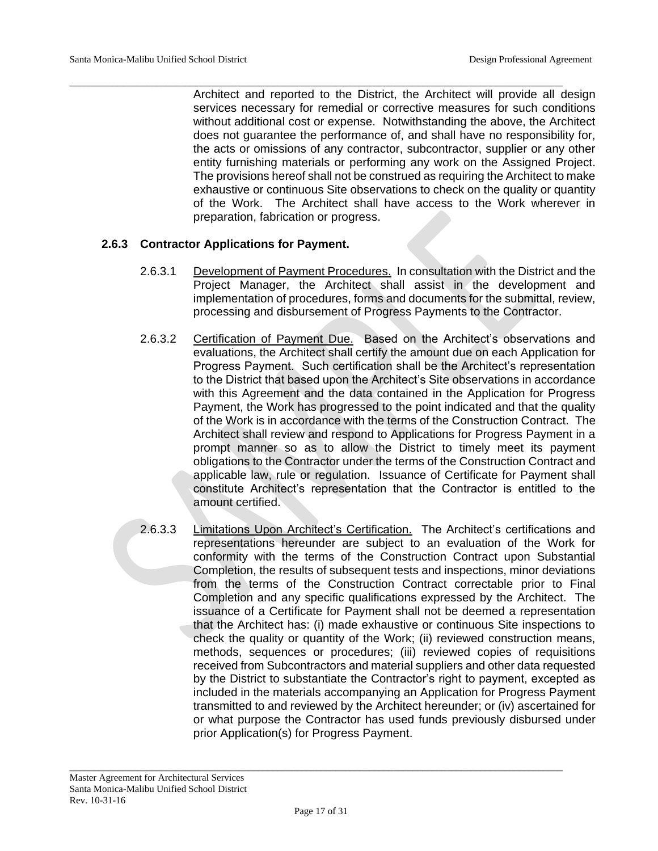\_\_\_\_\_\_\_\_\_\_\_\_\_\_\_\_\_\_\_\_\_\_\_\_\_\_\_\_\_\_\_\_\_\_\_\_\_\_\_\_\_\_\_\_\_\_\_\_\_\_\_\_\_\_\_\_\_\_\_\_\_\_\_\_\_\_\_\_\_\_\_\_\_\_\_\_\_\_\_\_\_\_\_\_\_\_\_\_\_\_\_\_\_\_\_\_\_\_\_\_\_\_ Architect and reported to the District, the Architect will provide all design services necessary for remedial or corrective measures for such conditions without additional cost or expense. Notwithstanding the above, the Architect does not guarantee the performance of, and shall have no responsibility for, the acts or omissions of any contractor, subcontractor, supplier or any other entity furnishing materials or performing any work on the Assigned Project. The provisions hereof shall not be construed as requiring the Architect to make exhaustive or continuous Site observations to check on the quality or quantity of the Work. The Architect shall have access to the Work wherever in preparation, fabrication or progress.

### **2.6.3 Contractor Applications for Payment.**

- 2.6.3.1 Development of Payment Procedures. In consultation with the District and the Project Manager, the Architect shall assist in the development and implementation of procedures, forms and documents for the submittal, review, processing and disbursement of Progress Payments to the Contractor.
- 2.6.3.2 Certification of Payment Due. Based on the Architect's observations and evaluations, the Architect shall certify the amount due on each Application for Progress Payment. Such certification shall be the Architect's representation to the District that based upon the Architect's Site observations in accordance with this Agreement and the data contained in the Application for Progress Payment, the Work has progressed to the point indicated and that the quality of the Work is in accordance with the terms of the Construction Contract. The Architect shall review and respond to Applications for Progress Payment in a prompt manner so as to allow the District to timely meet its payment obligations to the Contractor under the terms of the Construction Contract and applicable law, rule or regulation. Issuance of Certificate for Payment shall constitute Architect's representation that the Contractor is entitled to the amount certified.
- 2.6.3.3 Limitations Upon Architect's Certification. The Architect's certifications and representations hereunder are subject to an evaluation of the Work for conformity with the terms of the Construction Contract upon Substantial Completion, the results of subsequent tests and inspections, minor deviations from the terms of the Construction Contract correctable prior to Final Completion and any specific qualifications expressed by the Architect. The issuance of a Certificate for Payment shall not be deemed a representation that the Architect has: (i) made exhaustive or continuous Site inspections to check the quality or quantity of the Work; (ii) reviewed construction means, methods, sequences or procedures; (iii) reviewed copies of requisitions received from Subcontractors and material suppliers and other data requested by the District to substantiate the Contractor's right to payment, excepted as included in the materials accompanying an Application for Progress Payment transmitted to and reviewed by the Architect hereunder; or (iv) ascertained for or what purpose the Contractor has used funds previously disbursed under prior Application(s) for Progress Payment.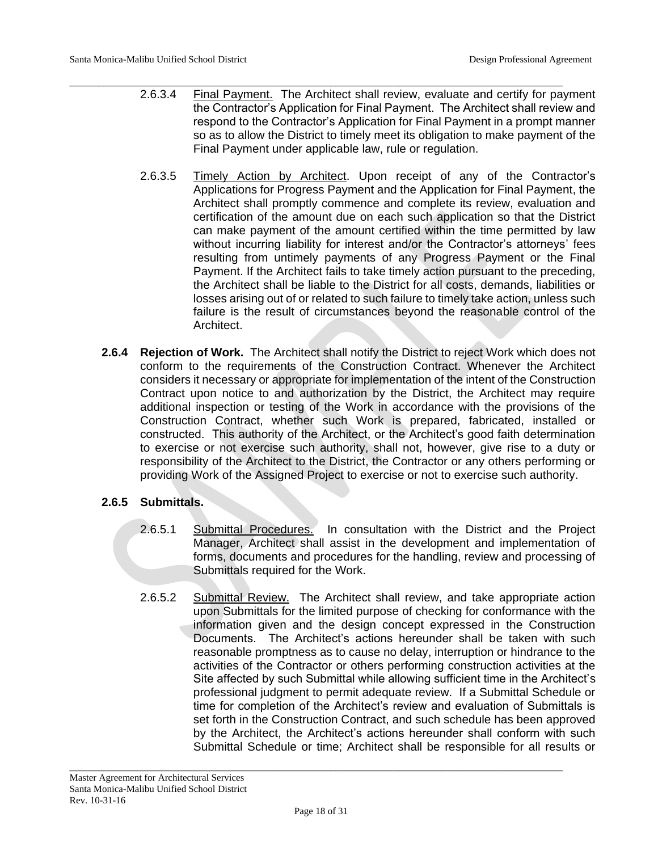- \_\_\_\_\_\_\_\_\_\_\_\_\_\_\_\_\_\_\_\_\_\_\_\_\_\_\_\_\_\_\_\_\_\_\_\_\_\_\_\_\_\_\_\_\_\_\_\_\_\_\_\_\_\_\_\_\_\_\_\_\_\_\_\_\_\_\_\_\_\_\_\_\_\_\_\_\_\_\_\_\_\_\_\_\_\_\_\_\_\_\_\_\_\_\_\_\_\_\_\_\_\_ 2.6.3.4 Final Payment. The Architect shall review, evaluate and certify for payment the Contractor's Application for Final Payment. The Architect shall review and respond to the Contractor's Application for Final Payment in a prompt manner so as to allow the District to timely meet its obligation to make payment of the Final Payment under applicable law, rule or regulation.
	- 2.6.3.5 Timely Action by Architect. Upon receipt of any of the Contractor's Applications for Progress Payment and the Application for Final Payment, the Architect shall promptly commence and complete its review, evaluation and certification of the amount due on each such application so that the District can make payment of the amount certified within the time permitted by law without incurring liability for interest and/or the Contractor's attorneys' fees resulting from untimely payments of any Progress Payment or the Final Payment. If the Architect fails to take timely action pursuant to the preceding, the Architect shall be liable to the District for all costs, demands, liabilities or losses arising out of or related to such failure to timely take action, unless such failure is the result of circumstances beyond the reasonable control of the Architect.
	- **2.6.4 Rejection of Work.** The Architect shall notify the District to reject Work which does not conform to the requirements of the Construction Contract. Whenever the Architect considers it necessary or appropriate for implementation of the intent of the Construction Contract upon notice to and authorization by the District, the Architect may require additional inspection or testing of the Work in accordance with the provisions of the Construction Contract, whether such Work is prepared, fabricated, installed or constructed. This authority of the Architect, or the Architect's good faith determination to exercise or not exercise such authority, shall not, however, give rise to a duty or responsibility of the Architect to the District, the Contractor or any others performing or providing Work of the Assigned Project to exercise or not to exercise such authority.

# **2.6.5 Submittals.**

- 2.6.5.1 Submittal Procedures. In consultation with the District and the Project Manager, Architect shall assist in the development and implementation of forms, documents and procedures for the handling, review and processing of Submittals required for the Work.
- 2.6.5.2 Submittal Review. The Architect shall review, and take appropriate action upon Submittals for the limited purpose of checking for conformance with the information given and the design concept expressed in the Construction Documents. The Architect's actions hereunder shall be taken with such reasonable promptness as to cause no delay, interruption or hindrance to the activities of the Contractor or others performing construction activities at the Site affected by such Submittal while allowing sufficient time in the Architect's professional judgment to permit adequate review. If a Submittal Schedule or time for completion of the Architect's review and evaluation of Submittals is set forth in the Construction Contract, and such schedule has been approved by the Architect, the Architect's actions hereunder shall conform with such Submittal Schedule or time; Architect shall be responsible for all results or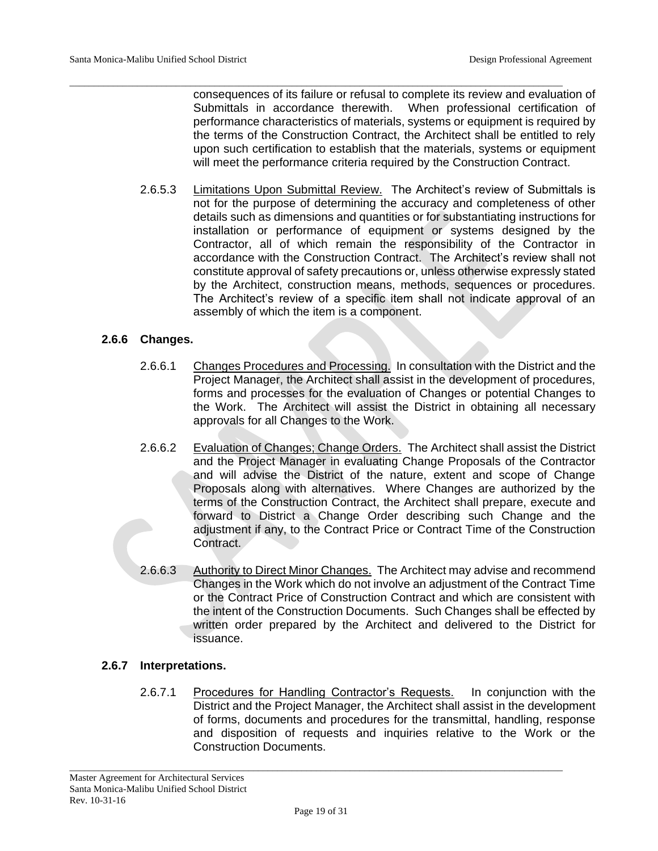\_\_\_\_\_\_\_\_\_\_\_\_\_\_\_\_\_\_\_\_\_\_\_\_\_\_\_\_\_\_\_\_\_\_\_\_\_\_\_\_\_\_\_\_\_\_\_\_\_\_\_\_\_\_\_\_\_\_\_\_\_\_\_\_\_\_\_\_\_\_\_\_\_\_\_\_\_\_\_\_\_\_\_\_\_\_\_\_\_\_\_\_\_\_\_\_\_\_\_\_\_\_ consequences of its failure or refusal to complete its review and evaluation of Submittals in accordance therewith. When professional certification of performance characteristics of materials, systems or equipment is required by the terms of the Construction Contract, the Architect shall be entitled to rely upon such certification to establish that the materials, systems or equipment will meet the performance criteria required by the Construction Contract.

> 2.6.5.3 Limitations Upon Submittal Review. The Architect's review of Submittals is not for the purpose of determining the accuracy and completeness of other details such as dimensions and quantities or for substantiating instructions for installation or performance of equipment or systems designed by the Contractor, all of which remain the responsibility of the Contractor in accordance with the Construction Contract. The Architect's review shall not constitute approval of safety precautions or, unless otherwise expressly stated by the Architect, construction means, methods, sequences or procedures. The Architect's review of a specific item shall not indicate approval of an assembly of which the item is a component.

# **2.6.6 Changes.**

- 2.6.6.1 Changes Procedures and Processing. In consultation with the District and the Project Manager, the Architect shall assist in the development of procedures, forms and processes for the evaluation of Changes or potential Changes to the Work. The Architect will assist the District in obtaining all necessary approvals for all Changes to the Work.
- 2.6.6.2 Evaluation of Changes; Change Orders. The Architect shall assist the District and the Project Manager in evaluating Change Proposals of the Contractor and will advise the District of the nature, extent and scope of Change Proposals along with alternatives. Where Changes are authorized by the terms of the Construction Contract, the Architect shall prepare, execute and forward to District a Change Order describing such Change and the adjustment if any, to the Contract Price or Contract Time of the Construction Contract.
- 2.6.6.3 Authority to Direct Minor Changes. The Architect may advise and recommend Changes in the Work which do not involve an adjustment of the Contract Time or the Contract Price of Construction Contract and which are consistent with the intent of the Construction Documents. Such Changes shall be effected by written order prepared by the Architect and delivered to the District for issuance.

# **2.6.7 Interpretations.**

2.6.7.1 Procedures for Handling Contractor's Requests. In conjunction with the District and the Project Manager, the Architect shall assist in the development of forms, documents and procedures for the transmittal, handling, response and disposition of requests and inquiries relative to the Work or the Construction Documents.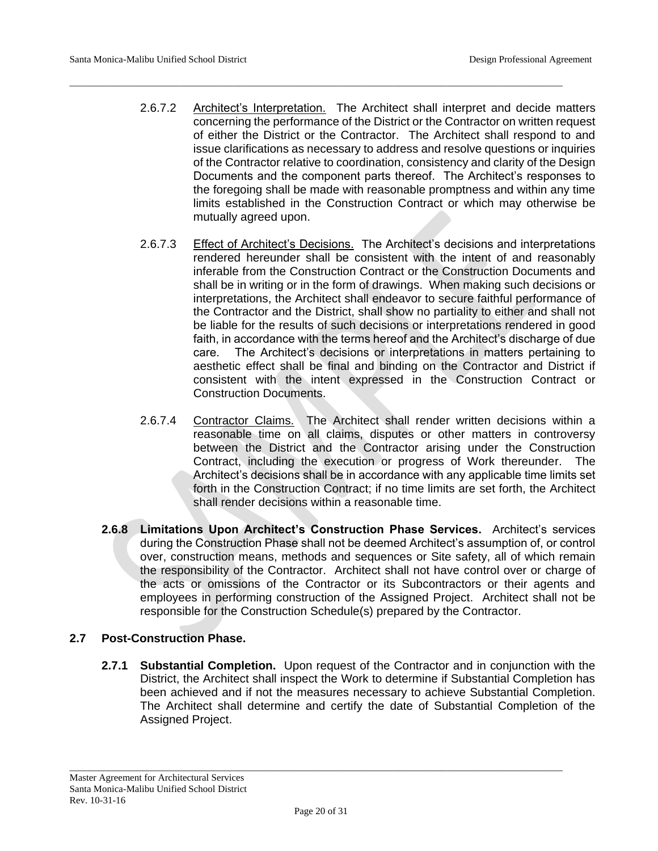2.6.7.2 Architect's Interpretation. The Architect shall interpret and decide matters concerning the performance of the District or the Contractor on written request of either the District or the Contractor. The Architect shall respond to and issue clarifications as necessary to address and resolve questions or inquiries of the Contractor relative to coordination, consistency and clarity of the Design Documents and the component parts thereof. The Architect's responses to the foregoing shall be made with reasonable promptness and within any time limits established in the Construction Contract or which may otherwise be mutually agreed upon.

\_\_\_\_\_\_\_\_\_\_\_\_\_\_\_\_\_\_\_\_\_\_\_\_\_\_\_\_\_\_\_\_\_\_\_\_\_\_\_\_\_\_\_\_\_\_\_\_\_\_\_\_\_\_\_\_\_\_\_\_\_\_\_\_\_\_\_\_\_\_\_\_\_\_\_\_\_\_\_\_\_\_\_\_\_\_\_\_\_\_\_\_\_\_\_\_\_\_\_\_\_\_

- 2.6.7.3 Effect of Architect's Decisions. The Architect's decisions and interpretations rendered hereunder shall be consistent with the intent of and reasonably inferable from the Construction Contract or the Construction Documents and shall be in writing or in the form of drawings. When making such decisions or interpretations, the Architect shall endeavor to secure faithful performance of the Contractor and the District, shall show no partiality to either and shall not be liable for the results of such decisions or interpretations rendered in good faith, in accordance with the terms hereof and the Architect's discharge of due care. The Architect's decisions or interpretations in matters pertaining to aesthetic effect shall be final and binding on the Contractor and District if consistent with the intent expressed in the Construction Contract or Construction Documents.
- 2.6.7.4 Contractor Claims. The Architect shall render written decisions within a reasonable time on all claims, disputes or other matters in controversy between the District and the Contractor arising under the Construction Contract, including the execution or progress of Work thereunder. The Architect's decisions shall be in accordance with any applicable time limits set forth in the Construction Contract; if no time limits are set forth, the Architect shall render decisions within a reasonable time.
- **2.6.8 Limitations Upon Architect's Construction Phase Services.** Architect's services during the Construction Phase shall not be deemed Architect's assumption of, or control over, construction means, methods and sequences or Site safety, all of which remain the responsibility of the Contractor. Architect shall not have control over or charge of the acts or omissions of the Contractor or its Subcontractors or their agents and employees in performing construction of the Assigned Project. Architect shall not be responsible for the Construction Schedule(s) prepared by the Contractor.

# **2.7 Post-Construction Phase.**

**2.7.1 Substantial Completion.** Upon request of the Contractor and in conjunction with the District, the Architect shall inspect the Work to determine if Substantial Completion has been achieved and if not the measures necessary to achieve Substantial Completion. The Architect shall determine and certify the date of Substantial Completion of the Assigned Project.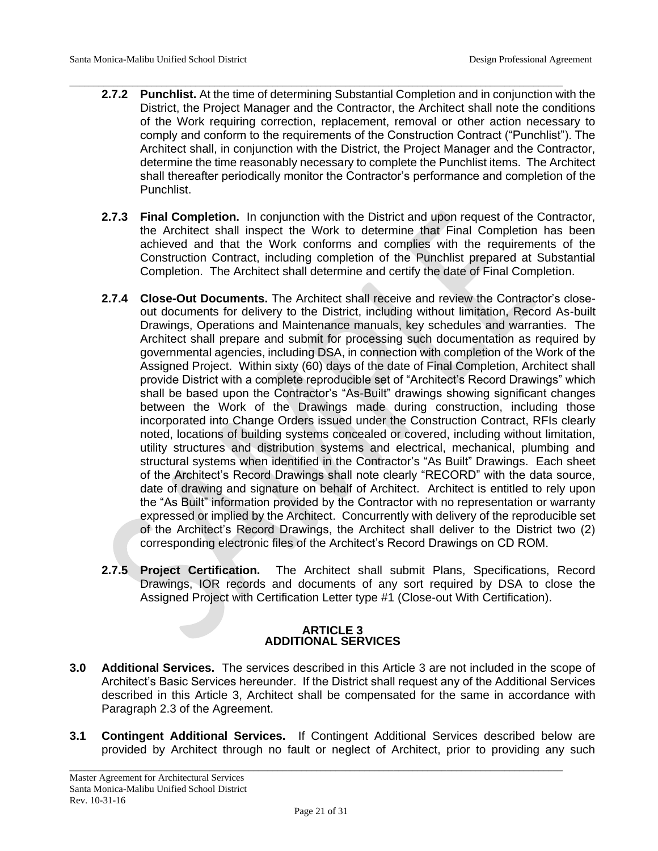- \_\_\_\_\_\_\_\_\_\_\_\_\_\_\_\_\_\_\_\_\_\_\_\_\_\_\_\_\_\_\_\_\_\_\_\_\_\_\_\_\_\_\_\_\_\_\_\_\_\_\_\_\_\_\_\_\_\_\_\_\_\_\_\_\_\_\_\_\_\_\_\_\_\_\_\_\_\_\_\_\_\_\_\_\_\_\_\_\_\_\_\_\_\_\_\_\_\_\_\_\_\_ **2.7.2 Punchlist.** At the time of determining Substantial Completion and in conjunction with the District, the Project Manager and the Contractor, the Architect shall note the conditions of the Work requiring correction, replacement, removal or other action necessary to comply and conform to the requirements of the Construction Contract ("Punchlist"). The Architect shall, in conjunction with the District, the Project Manager and the Contractor, determine the time reasonably necessary to complete the Punchlist items. The Architect shall thereafter periodically monitor the Contractor's performance and completion of the Punchlist.
	- **2.7.3 Final Completion.** In conjunction with the District and upon request of the Contractor, the Architect shall inspect the Work to determine that Final Completion has been achieved and that the Work conforms and complies with the requirements of the Construction Contract, including completion of the Punchlist prepared at Substantial Completion. The Architect shall determine and certify the date of Final Completion.
	- **2.7.4 Close-Out Documents.** The Architect shall receive and review the Contractor's closeout documents for delivery to the District, including without limitation, Record As-built Drawings, Operations and Maintenance manuals, key schedules and warranties. The Architect shall prepare and submit for processing such documentation as required by governmental agencies, including DSA, in connection with completion of the Work of the Assigned Project. Within sixty (60) days of the date of Final Completion, Architect shall provide District with a complete reproducible set of "Architect's Record Drawings" which shall be based upon the Contractor's "As-Built" drawings showing significant changes between the Work of the Drawings made during construction, including those incorporated into Change Orders issued under the Construction Contract, RFIs clearly noted, locations of building systems concealed or covered, including without limitation, utility structures and distribution systems and electrical, mechanical, plumbing and structural systems when identified in the Contractor's "As Built" Drawings. Each sheet of the Architect's Record Drawings shall note clearly "RECORD" with the data source, date of drawing and signature on behalf of Architect. Architect is entitled to rely upon the "As Built" information provided by the Contractor with no representation or warranty expressed or implied by the Architect. Concurrently with delivery of the reproducible set of the Architect's Record Drawings, the Architect shall deliver to the District two (2) corresponding electronic files of the Architect's Record Drawings on CD ROM.
	- **2.7.5 Project Certification.** The Architect shall submit Plans, Specifications, Record Drawings, IOR records and documents of any sort required by DSA to close the Assigned Project with Certification Letter type #1 (Close-out With Certification).

#### **ARTICLE 3 ADDITIONAL SERVICES**

- **3.0 Additional Services.** The services described in this Article 3 are not included in the scope of Architect's Basic Services hereunder. If the District shall request any of the Additional Services described in this Article 3, Architect shall be compensated for the same in accordance with Paragraph 2.3 of the Agreement.
- **3.1 Contingent Additional Services.** If Contingent Additional Services described below are provided by Architect through no fault or neglect of Architect, prior to providing any such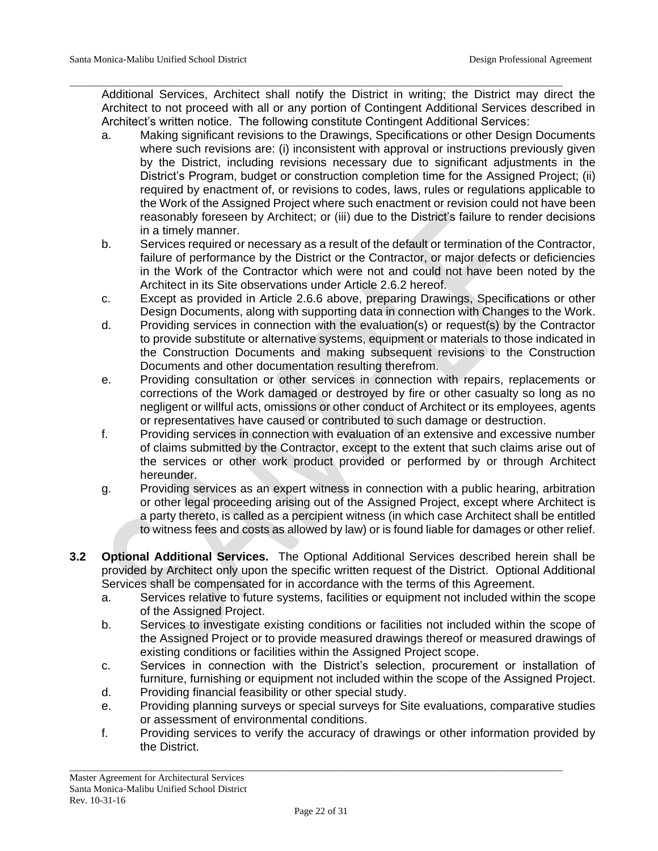Additional Services, Architect shall notify the District in writing; the District may direct the Architect to not proceed with all or any portion of Contingent Additional Services described in Architect's written notice. The following constitute Contingent Additional Services:

\_\_\_\_\_\_\_\_\_\_\_\_\_\_\_\_\_\_\_\_\_\_\_\_\_\_\_\_\_\_\_\_\_\_\_\_\_\_\_\_\_\_\_\_\_\_\_\_\_\_\_\_\_\_\_\_\_\_\_\_\_\_\_\_\_\_\_\_\_\_\_\_\_\_\_\_\_\_\_\_\_\_\_\_\_\_\_\_\_\_\_\_\_\_\_\_\_\_\_\_\_\_

- a. Making significant revisions to the Drawings, Specifications or other Design Documents where such revisions are: (i) inconsistent with approval or instructions previously given by the District, including revisions necessary due to significant adjustments in the District's Program, budget or construction completion time for the Assigned Project; (ii) required by enactment of, or revisions to codes, laws, rules or regulations applicable to the Work of the Assigned Project where such enactment or revision could not have been reasonably foreseen by Architect; or (iii) due to the District's failure to render decisions in a timely manner.
- b. Services required or necessary as a result of the default or termination of the Contractor, failure of performance by the District or the Contractor, or major defects or deficiencies in the Work of the Contractor which were not and could not have been noted by the Architect in its Site observations under Article 2.6.2 hereof.
- c. Except as provided in Article 2.6.6 above, preparing Drawings, Specifications or other Design Documents, along with supporting data in connection with Changes to the Work.
- d. Providing services in connection with the evaluation(s) or request(s) by the Contractor to provide substitute or alternative systems, equipment or materials to those indicated in the Construction Documents and making subsequent revisions to the Construction Documents and other documentation resulting therefrom.
- e. Providing consultation or other services in connection with repairs, replacements or corrections of the Work damaged or destroyed by fire or other casualty so long as no negligent or willful acts, omissions or other conduct of Architect or its employees, agents or representatives have caused or contributed to such damage or destruction.
- f. Providing services in connection with evaluation of an extensive and excessive number of claims submitted by the Contractor, except to the extent that such claims arise out of the services or other work product provided or performed by or through Architect hereunder.
- g. Providing services as an expert witness in connection with a public hearing, arbitration or other legal proceeding arising out of the Assigned Project, except where Architect is a party thereto, is called as a percipient witness (in which case Architect shall be entitled to witness fees and costs as allowed by law) or is found liable for damages or other relief.
- **3.2 Optional Additional Services.** The Optional Additional Services described herein shall be provided by Architect only upon the specific written request of the District. Optional Additional Services shall be compensated for in accordance with the terms of this Agreement.
	- a. Services relative to future systems, facilities or equipment not included within the scope of the Assigned Project.
	- b. Services to investigate existing conditions or facilities not included within the scope of the Assigned Project or to provide measured drawings thereof or measured drawings of existing conditions or facilities within the Assigned Project scope.
	- c. Services in connection with the District's selection, procurement or installation of furniture, furnishing or equipment not included within the scope of the Assigned Project.
	- d. Providing financial feasibility or other special study.
	- e. Providing planning surveys or special surveys for Site evaluations, comparative studies or assessment of environmental conditions.
	- f. Providing services to verify the accuracy of drawings or other information provided by the District.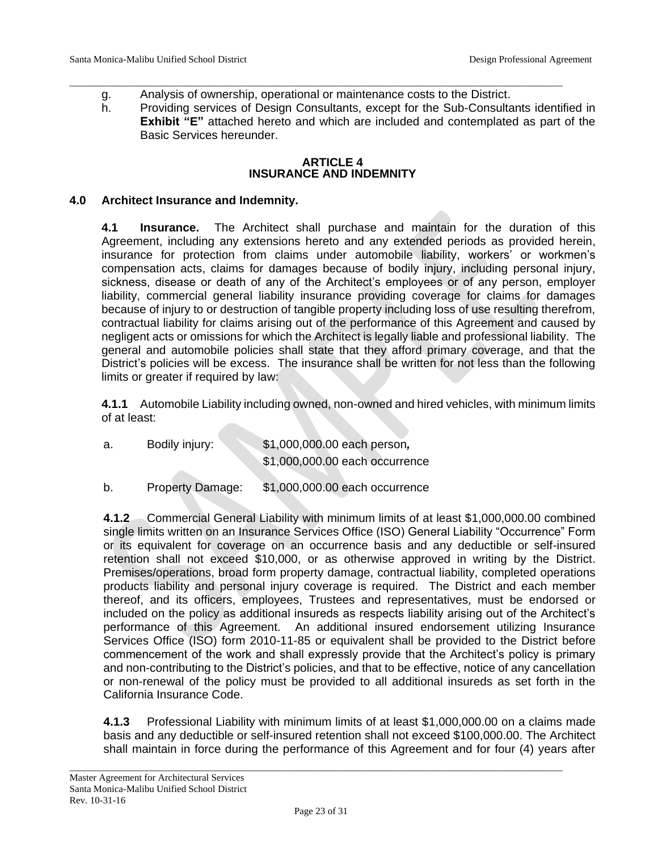- \_\_\_\_\_\_\_\_\_\_\_\_\_\_\_\_\_\_\_\_\_\_\_\_\_\_\_\_\_\_\_\_\_\_\_\_\_\_\_\_\_\_\_\_\_\_\_\_\_\_\_\_\_\_\_\_\_\_\_\_\_\_\_\_\_\_\_\_\_\_\_\_\_\_\_\_\_\_\_\_\_\_\_\_\_\_\_\_\_\_\_\_\_\_\_\_\_\_\_\_\_\_ g. Analysis of ownership, operational or maintenance costs to the District.
	- h. Providing services of Design Consultants, except for the Sub-Consultants identified in **Exhibit "E"** attached hereto and which are included and contemplated as part of the Basic Services hereunder.

#### **ARTICLE 4 INSURANCE AND INDEMNITY**

### **4.0 Architect Insurance and Indemnity.**

**4.1 Insurance.** The Architect shall purchase and maintain for the duration of this Agreement, including any extensions hereto and any extended periods as provided herein, insurance for protection from claims under automobile liability, workers' or workmen's compensation acts, claims for damages because of bodily injury, including personal injury, sickness, disease or death of any of the Architect's employees or of any person, employer liability, commercial general liability insurance providing coverage for claims for damages because of injury to or destruction of tangible property including loss of use resulting therefrom, contractual liability for claims arising out of the performance of this Agreement and caused by negligent acts or omissions for which the Architect is legally liable and professional liability. The general and automobile policies shall state that they afford primary coverage, and that the District's policies will be excess. The insurance shall be written for not less than the following limits or greater if required by law:

**4.1.1** Automobile Liability including owned, non-owned and hired vehicles, with minimum limits of at least:

| а. | Bodily injury: | \$1,000,000.00 each person,    |
|----|----------------|--------------------------------|
|    |                | \$1,000,000.00 each occurrence |
|    |                |                                |

b. Property Damage: \$1,000,000.00 each occurrence

**4.1.2** Commercial General Liability with minimum limits of at least \$1,000,000.00 combined single limits written on an Insurance Services Office (ISO) General Liability "Occurrence" Form or its equivalent for coverage on an occurrence basis and any deductible or self-insured retention shall not exceed \$10,000, or as otherwise approved in writing by the District. Premises/operations, broad form property damage, contractual liability, completed operations products liability and personal injury coverage is required. The District and each member thereof, and its officers, employees, Trustees and representatives, must be endorsed or included on the policy as additional insureds as respects liability arising out of the Architect's performance of this Agreement. An additional insured endorsement utilizing Insurance Services Office (ISO) form 2010-11-85 or equivalent shall be provided to the District before commencement of the work and shall expressly provide that the Architect's policy is primary and non-contributing to the District's policies, and that to be effective, notice of any cancellation or non-renewal of the policy must be provided to all additional insureds as set forth in the California Insurance Code.

**4.1.3** Professional Liability with minimum limits of at least \$1,000,000.00 on a claims made basis and any deductible or self-insured retention shall not exceed \$100,000.00. The Architect shall maintain in force during the performance of this Agreement and for four (4) years after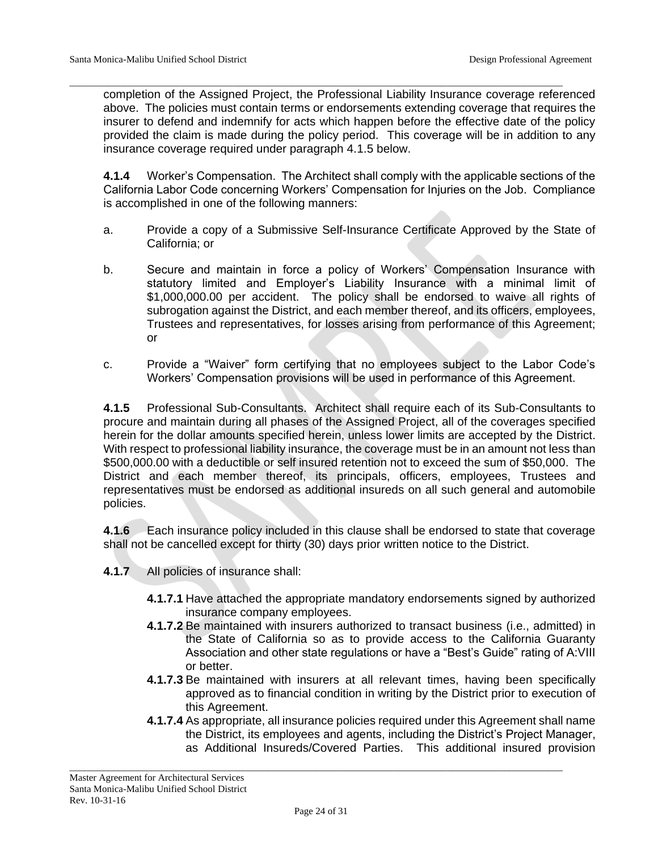\_\_\_\_\_\_\_\_\_\_\_\_\_\_\_\_\_\_\_\_\_\_\_\_\_\_\_\_\_\_\_\_\_\_\_\_\_\_\_\_\_\_\_\_\_\_\_\_\_\_\_\_\_\_\_\_\_\_\_\_\_\_\_\_\_\_\_\_\_\_\_\_\_\_\_\_\_\_\_\_\_\_\_\_\_\_\_\_\_\_\_\_\_\_\_\_\_\_\_\_\_\_ completion of the Assigned Project, the Professional Liability Insurance coverage referenced above. The policies must contain terms or endorsements extending coverage that requires the insurer to defend and indemnify for acts which happen before the effective date of the policy provided the claim is made during the policy period. This coverage will be in addition to any insurance coverage required under paragraph 4.1.5 below.

**4.1.4** Worker's Compensation. The Architect shall comply with the applicable sections of the California Labor Code concerning Workers' Compensation for Injuries on the Job. Compliance is accomplished in one of the following manners:

- a. Provide a copy of a Submissive Self-Insurance Certificate Approved by the State of California; or
- b. Secure and maintain in force a policy of Workers' Compensation Insurance with statutory limited and Employer's Liability Insurance with a minimal limit of \$1,000,000.00 per accident. The policy shall be endorsed to waive all rights of subrogation against the District, and each member thereof, and its officers, employees, Trustees and representatives, for losses arising from performance of this Agreement; or
- c. Provide a "Waiver" form certifying that no employees subject to the Labor Code's Workers' Compensation provisions will be used in performance of this Agreement.

**4.1.5** Professional Sub-Consultants.Architect shall require each of its Sub-Consultants to procure and maintain during all phases of the Assigned Project, all of the coverages specified herein for the dollar amounts specified herein, unless lower limits are accepted by the District. With respect to professional liability insurance, the coverage must be in an amount not less than \$500,000.00 with a deductible or self insured retention not to exceed the sum of \$50,000. The District and each member thereof, its principals, officers, employees, Trustees and representatives must be endorsed as additional insureds on all such general and automobile policies.

**4.1.6** Each insurance policy included in this clause shall be endorsed to state that coverage shall not be cancelled except for thirty (30) days prior written notice to the District.

- **4.1.7** All policies of insurance shall:
	- **4.1.7.1** Have attached the appropriate mandatory endorsements signed by authorized insurance company employees.
	- **4.1.7.2** Be maintained with insurers authorized to transact business (i.e., admitted) in the State of California so as to provide access to the California Guaranty Association and other state regulations or have a "Best's Guide" rating of A:VIII or better.
	- **4.1.7.3** Be maintained with insurers at all relevant times, having been specifically approved as to financial condition in writing by the District prior to execution of this Agreement.
	- **4.1.7.4** As appropriate, all insurance policies required under this Agreement shall name the District, its employees and agents, including the District's Project Manager, as Additional Insureds/Covered Parties. This additional insured provision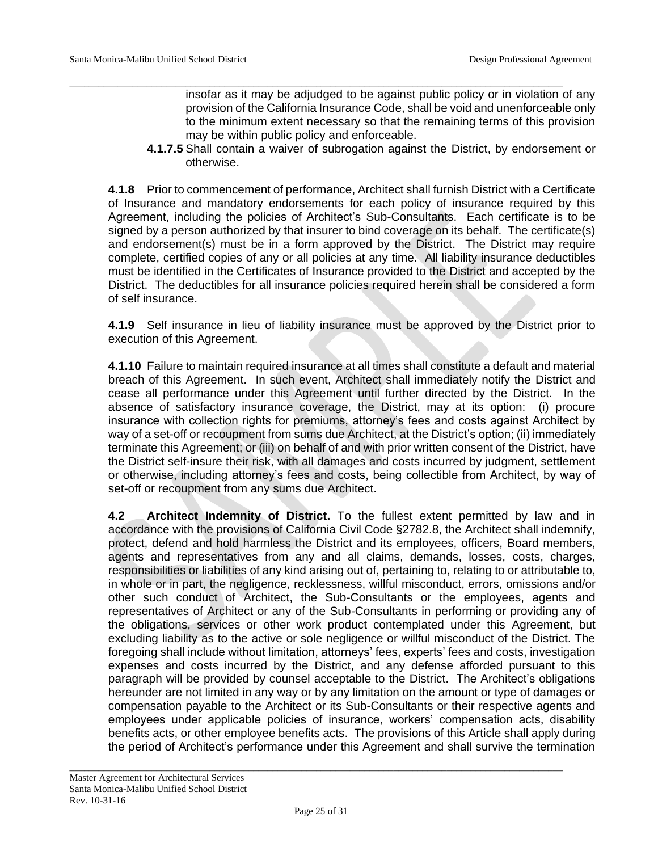insofar as it may be adjudged to be against public policy or in violation of any provision of the California Insurance Code, shall be void and unenforceable only to the minimum extent necessary so that the remaining terms of this provision may be within public policy and enforceable.

**4.1.7.5** Shall contain a waiver of subrogation against the District, by endorsement or otherwise.

**4.1.8** Prior to commencement of performance, Architect shall furnish District with a Certificate of Insurance and mandatory endorsements for each policy of insurance required by this Agreement, including the policies of Architect's Sub-Consultants. Each certificate is to be signed by a person authorized by that insurer to bind coverage on its behalf. The certificate(s) and endorsement(s) must be in a form approved by the District. The District may require complete, certified copies of any or all policies at any time. All liability insurance deductibles must be identified in the Certificates of Insurance provided to the District and accepted by the District. The deductibles for all insurance policies required herein shall be considered a form of self insurance.

\_\_\_\_\_\_\_\_\_\_\_\_\_\_\_\_\_\_\_\_\_\_\_\_\_\_\_\_\_\_\_\_\_\_\_\_\_\_\_\_\_\_\_\_\_\_\_\_\_\_\_\_\_\_\_\_\_\_\_\_\_\_\_\_\_\_\_\_\_\_\_\_\_\_\_\_\_\_\_\_\_\_\_\_\_\_\_\_\_\_\_\_\_\_\_\_\_\_\_\_\_\_

**4.1.9** Self insurance in lieu of liability insurance must be approved by the District prior to execution of this Agreement.

**4.1.10** Failure to maintain required insurance at all times shall constitute a default and material breach of this Agreement. In such event, Architect shall immediately notify the District and cease all performance under this Agreement until further directed by the District. In the absence of satisfactory insurance coverage, the District, may at its option: (i) procure insurance with collection rights for premiums, attorney's fees and costs against Architect by way of a set-off or recoupment from sums due Architect, at the District's option; (ii) immediately terminate this Agreement; or (iii) on behalf of and with prior written consent of the District, have the District self-insure their risk, with all damages and costs incurred by judgment, settlement or otherwise, including attorney's fees and costs, being collectible from Architect, by way of set-off or recoupment from any sums due Architect.

**4.2 Architect Indemnity of District.** To the fullest extent permitted by law and in accordance with the provisions of California Civil Code §2782.8, the Architect shall indemnify, protect, defend and hold harmless the District and its employees, officers, Board members, agents and representatives from any and all claims, demands, losses, costs, charges, responsibilities or liabilities of any kind arising out of, pertaining to, relating to or attributable to, in whole or in part, the negligence, recklessness, willful misconduct, errors, omissions and/or other such conduct of Architect, the Sub-Consultants or the employees, agents and representatives of Architect or any of the Sub-Consultants in performing or providing any of the obligations, services or other work product contemplated under this Agreement, but excluding liability as to the active or sole negligence or willful misconduct of the District. The foregoing shall include without limitation, attorneys' fees, experts' fees and costs, investigation expenses and costs incurred by the District, and any defense afforded pursuant to this paragraph will be provided by counsel acceptable to the District. The Architect's obligations hereunder are not limited in any way or by any limitation on the amount or type of damages or compensation payable to the Architect or its Sub-Consultants or their respective agents and employees under applicable policies of insurance, workers' compensation acts, disability benefits acts, or other employee benefits acts. The provisions of this Article shall apply during the period of Architect's performance under this Agreement and shall survive the termination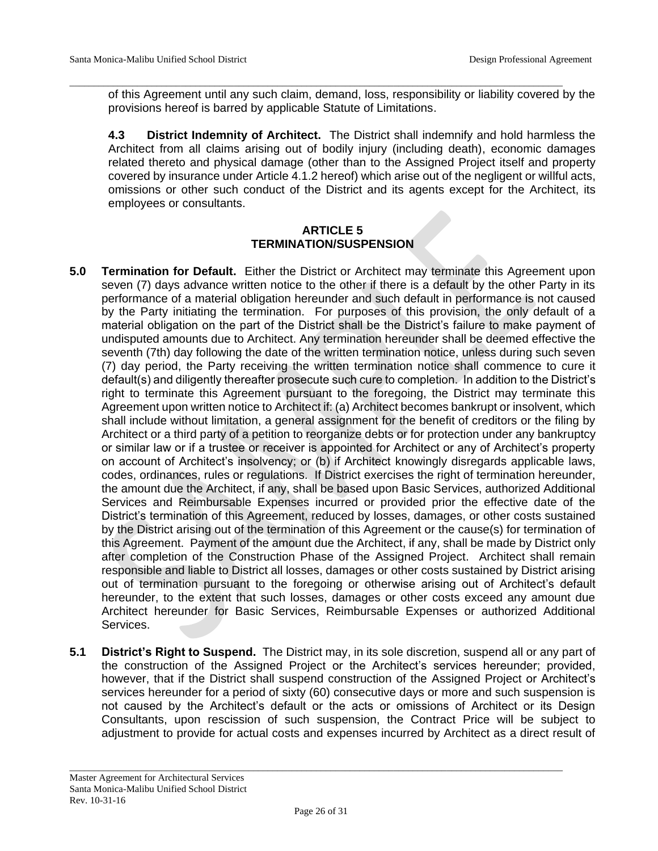of this Agreement until any such claim, demand, loss, responsibility or liability covered by the provisions hereof is barred by applicable Statute of Limitations.

\_\_\_\_\_\_\_\_\_\_\_\_\_\_\_\_\_\_\_\_\_\_\_\_\_\_\_\_\_\_\_\_\_\_\_\_\_\_\_\_\_\_\_\_\_\_\_\_\_\_\_\_\_\_\_\_\_\_\_\_\_\_\_\_\_\_\_\_\_\_\_\_\_\_\_\_\_\_\_\_\_\_\_\_\_\_\_\_\_\_\_\_\_\_\_\_\_\_\_\_\_\_

**4.3 District Indemnity of Architect.** The District shall indemnify and hold harmless the Architect from all claims arising out of bodily injury (including death), economic damages related thereto and physical damage (other than to the Assigned Project itself and property covered by insurance under Article 4.1.2 hereof) which arise out of the negligent or willful acts, omissions or other such conduct of the District and its agents except for the Architect, its employees or consultants.

### **ARTICLE 5 TERMINATION/SUSPENSION**

- **5.0 Termination for Default.** Either the District or Architect may terminate this Agreement upon seven (7) days advance written notice to the other if there is a default by the other Party in its performance of a material obligation hereunder and such default in performance is not caused by the Party initiating the termination. For purposes of this provision, the only default of a material obligation on the part of the District shall be the District's failure to make payment of undisputed amounts due to Architect. Any termination hereunder shall be deemed effective the seventh (7th) day following the date of the written termination notice, unless during such seven (7) day period, the Party receiving the written termination notice shall commence to cure it default(s) and diligently thereafter prosecute such cure to completion. In addition to the District's right to terminate this Agreement pursuant to the foregoing, the District may terminate this Agreement upon written notice to Architect if: (a) Architect becomes bankrupt or insolvent, which shall include without limitation, a general assignment for the benefit of creditors or the filing by Architect or a third party of a petition to reorganize debts or for protection under any bankruptcy or similar law or if a trustee or receiver is appointed for Architect or any of Architect's property on account of Architect's insolvency; or (b) if Architect knowingly disregards applicable laws, codes, ordinances, rules or regulations. If District exercises the right of termination hereunder, the amount due the Architect, if any, shall be based upon Basic Services, authorized Additional Services and Reimbursable Expenses incurred or provided prior the effective date of the District's termination of this Agreement, reduced by losses, damages, or other costs sustained by the District arising out of the termination of this Agreement or the cause(s) for termination of this Agreement. Payment of the amount due the Architect, if any, shall be made by District only after completion of the Construction Phase of the Assigned Project. Architect shall remain responsible and liable to District all losses, damages or other costs sustained by District arising out of termination pursuant to the foregoing or otherwise arising out of Architect's default hereunder, to the extent that such losses, damages or other costs exceed any amount due Architect hereunder for Basic Services, Reimbursable Expenses or authorized Additional Services.
- **5.1 District's Right to Suspend.** The District may, in its sole discretion, suspend all or any part of the construction of the Assigned Project or the Architect's services hereunder; provided, however, that if the District shall suspend construction of the Assigned Project or Architect's services hereunder for a period of sixty (60) consecutive days or more and such suspension is not caused by the Architect's default or the acts or omissions of Architect or its Design Consultants, upon rescission of such suspension, the Contract Price will be subject to adjustment to provide for actual costs and expenses incurred by Architect as a direct result of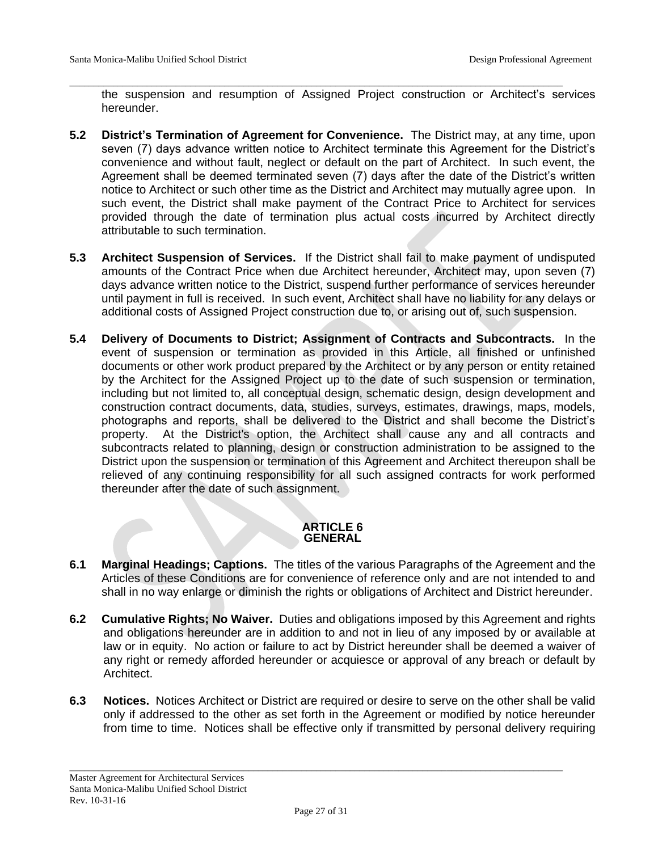the suspension and resumption of Assigned Project construction or Architect's services hereunder.

\_\_\_\_\_\_\_\_\_\_\_\_\_\_\_\_\_\_\_\_\_\_\_\_\_\_\_\_\_\_\_\_\_\_\_\_\_\_\_\_\_\_\_\_\_\_\_\_\_\_\_\_\_\_\_\_\_\_\_\_\_\_\_\_\_\_\_\_\_\_\_\_\_\_\_\_\_\_\_\_\_\_\_\_\_\_\_\_\_\_\_\_\_\_\_\_\_\_\_\_\_\_

- **5.2 District's Termination of Agreement for Convenience.** The District may, at any time, upon seven (7) days advance written notice to Architect terminate this Agreement for the District's convenience and without fault, neglect or default on the part of Architect. In such event, the Agreement shall be deemed terminated seven (7) days after the date of the District's written notice to Architect or such other time as the District and Architect may mutually agree upon. In such event, the District shall make payment of the Contract Price to Architect for services provided through the date of termination plus actual costs incurred by Architect directly attributable to such termination.
- **5.3 Architect Suspension of Services.** If the District shall fail to make payment of undisputed amounts of the Contract Price when due Architect hereunder, Architect may, upon seven (7) days advance written notice to the District, suspend further performance of services hereunder until payment in full is received. In such event, Architect shall have no liability for any delays or additional costs of Assigned Project construction due to, or arising out of, such suspension.
- **5.4 Delivery of Documents to District; Assignment of Contracts and Subcontracts.** In the event of suspension or termination as provided in this Article, all finished or unfinished documents or other work product prepared by the Architect or by any person or entity retained by the Architect for the Assigned Project up to the date of such suspension or termination, including but not limited to, all conceptual design, schematic design, design development and construction contract documents, data, studies, surveys, estimates, drawings, maps, models, photographs and reports, shall be delivered to the District and shall become the District's property. At the District's option, the Architect shall cause any and all contracts and subcontracts related to planning, design or construction administration to be assigned to the District upon the suspension or termination of this Agreement and Architect thereupon shall be relieved of any continuing responsibility for all such assigned contracts for work performed thereunder after the date of such assignment.

# **ARTICLE 6 GENERAL**

- **6.1 Marginal Headings; Captions.** The titles of the various Paragraphs of the Agreement and the Articles of these Conditions are for convenience of reference only and are not intended to and shall in no way enlarge or diminish the rights or obligations of Architect and District hereunder.
- **6.2 Cumulative Rights; No Waiver.** Duties and obligations imposed by this Agreement and rights and obligations hereunder are in addition to and not in lieu of any imposed by or available at law or in equity. No action or failure to act by District hereunder shall be deemed a waiver of any right or remedy afforded hereunder or acquiesce or approval of any breach or default by Architect.
- **6.3 Notices.** Notices Architect or District are required or desire to serve on the other shall be valid only if addressed to the other as set forth in the Agreement or modified by notice hereunder from time to time. Notices shall be effective only if transmitted by personal delivery requiring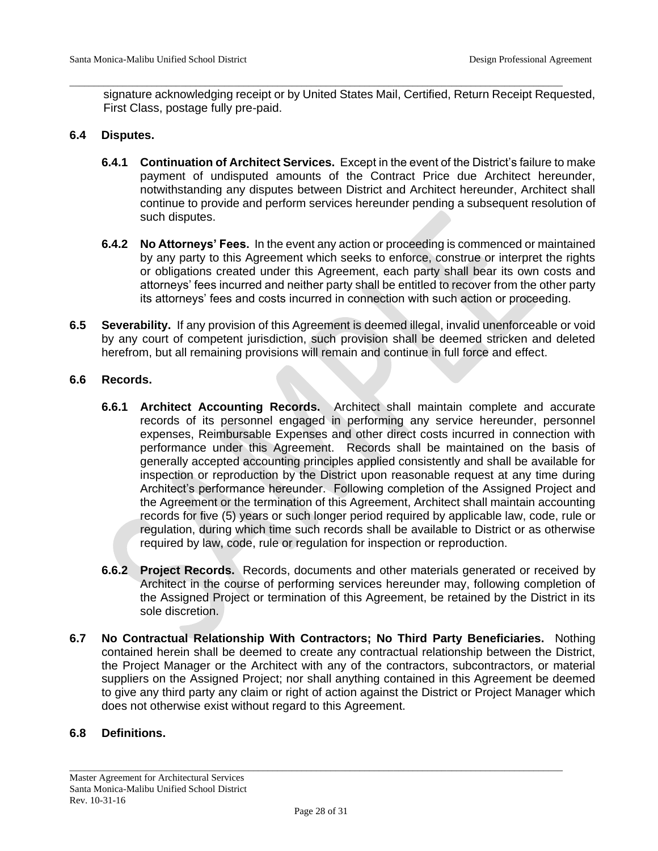signature acknowledging receipt or by United States Mail, Certified, Return Receipt Requested, First Class, postage fully pre-paid.

\_\_\_\_\_\_\_\_\_\_\_\_\_\_\_\_\_\_\_\_\_\_\_\_\_\_\_\_\_\_\_\_\_\_\_\_\_\_\_\_\_\_\_\_\_\_\_\_\_\_\_\_\_\_\_\_\_\_\_\_\_\_\_\_\_\_\_\_\_\_\_\_\_\_\_\_\_\_\_\_\_\_\_\_\_\_\_\_\_\_\_\_\_\_\_\_\_\_\_\_\_\_

### **6.4 Disputes.**

- **6.4.1 Continuation of Architect Services.** Except in the event of the District's failure to make payment of undisputed amounts of the Contract Price due Architect hereunder, notwithstanding any disputes between District and Architect hereunder, Architect shall continue to provide and perform services hereunder pending a subsequent resolution of such disputes.
- **6.4.2 No Attorneys' Fees.** In the event any action or proceeding is commenced or maintained by any party to this Agreement which seeks to enforce, construe or interpret the rights or obligations created under this Agreement, each party shall bear its own costs and attorneys' fees incurred and neither party shall be entitled to recover from the other party its attorneys' fees and costs incurred in connection with such action or proceeding.
- **6.5 Severability.** If any provision of this Agreement is deemed illegal, invalid unenforceable or void by any court of competent jurisdiction, such provision shall be deemed stricken and deleted herefrom, but all remaining provisions will remain and continue in full force and effect.

### **6.6 Records.**

- **6.6.1 Architect Accounting Records.** Architect shall maintain complete and accurate records of its personnel engaged in performing any service hereunder, personnel expenses, Reimbursable Expenses and other direct costs incurred in connection with performance under this Agreement. Records shall be maintained on the basis of generally accepted accounting principles applied consistently and shall be available for inspection or reproduction by the District upon reasonable request at any time during Architect's performance hereunder. Following completion of the Assigned Project and the Agreement or the termination of this Agreement, Architect shall maintain accounting records for five (5) years or such longer period required by applicable law, code, rule or regulation, during which time such records shall be available to District or as otherwise required by law, code, rule or regulation for inspection or reproduction.
- **6.6.2 Project Records.** Records, documents and other materials generated or received by Architect in the course of performing services hereunder may, following completion of the Assigned Project or termination of this Agreement, be retained by the District in its sole discretion.
- **6.7 No Contractual Relationship With Contractors; No Third Party Beneficiaries.** Nothing contained herein shall be deemed to create any contractual relationship between the District, the Project Manager or the Architect with any of the contractors, subcontractors, or material suppliers on the Assigned Project; nor shall anything contained in this Agreement be deemed to give any third party any claim or right of action against the District or Project Manager which does not otherwise exist without regard to this Agreement.

# **6.8 Definitions.**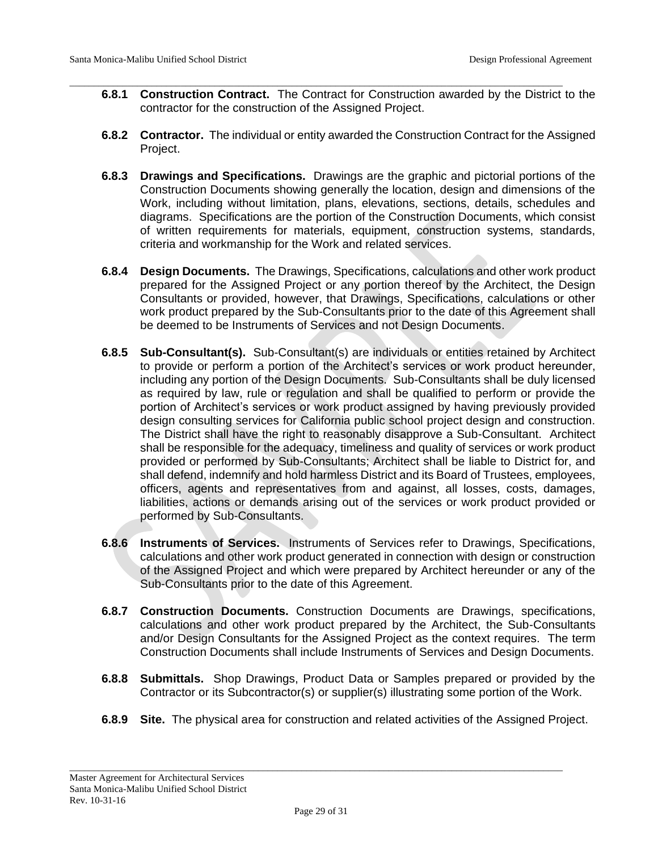**6.8.1 Construction Contract.** The Contract for Construction awarded by the District to the contractor for the construction of the Assigned Project.

\_\_\_\_\_\_\_\_\_\_\_\_\_\_\_\_\_\_\_\_\_\_\_\_\_\_\_\_\_\_\_\_\_\_\_\_\_\_\_\_\_\_\_\_\_\_\_\_\_\_\_\_\_\_\_\_\_\_\_\_\_\_\_\_\_\_\_\_\_\_\_\_\_\_\_\_\_\_\_\_\_\_\_\_\_\_\_\_\_\_\_\_\_\_\_\_\_\_\_\_\_\_

- **6.8.2 Contractor.** The individual or entity awarded the Construction Contract for the Assigned Project.
- **6.8.3 Drawings and Specifications.** Drawings are the graphic and pictorial portions of the Construction Documents showing generally the location, design and dimensions of the Work, including without limitation, plans, elevations, sections, details, schedules and diagrams. Specifications are the portion of the Construction Documents, which consist of written requirements for materials, equipment, construction systems, standards, criteria and workmanship for the Work and related services.
- **6.8.4 Design Documents.** The Drawings, Specifications, calculations and other work product prepared for the Assigned Project or any portion thereof by the Architect, the Design Consultants or provided, however, that Drawings, Specifications, calculations or other work product prepared by the Sub-Consultants prior to the date of this Agreement shall be deemed to be Instruments of Services and not Design Documents.
- **6.8.5 Sub-Consultant(s).** Sub-Consultant(s) are individuals or entities retained by Architect to provide or perform a portion of the Architect's services or work product hereunder, including any portion of the Design Documents. Sub-Consultants shall be duly licensed as required by law, rule or regulation and shall be qualified to perform or provide the portion of Architect's services or work product assigned by having previously provided design consulting services for California public school project design and construction. The District shall have the right to reasonably disapprove a Sub-Consultant. Architect shall be responsible for the adequacy, timeliness and quality of services or work product provided or performed by Sub-Consultants; Architect shall be liable to District for, and shall defend, indemnify and hold harmless District and its Board of Trustees, employees, officers, agents and representatives from and against, all losses, costs, damages, liabilities, actions or demands arising out of the services or work product provided or performed by Sub-Consultants.
- **6.8.6 Instruments of Services.** Instruments of Services refer to Drawings, Specifications, calculations and other work product generated in connection with design or construction of the Assigned Project and which were prepared by Architect hereunder or any of the Sub-Consultants prior to the date of this Agreement.
- **6.8.7 Construction Documents.** Construction Documents are Drawings, specifications, calculations and other work product prepared by the Architect, the Sub-Consultants and/or Design Consultants for the Assigned Project as the context requires. The term Construction Documents shall include Instruments of Services and Design Documents.
- **6.8.8 Submittals.** Shop Drawings, Product Data or Samples prepared or provided by the Contractor or its Subcontractor(s) or supplier(s) illustrating some portion of the Work.
- **6.8.9 Site.** The physical area for construction and related activities of the Assigned Project.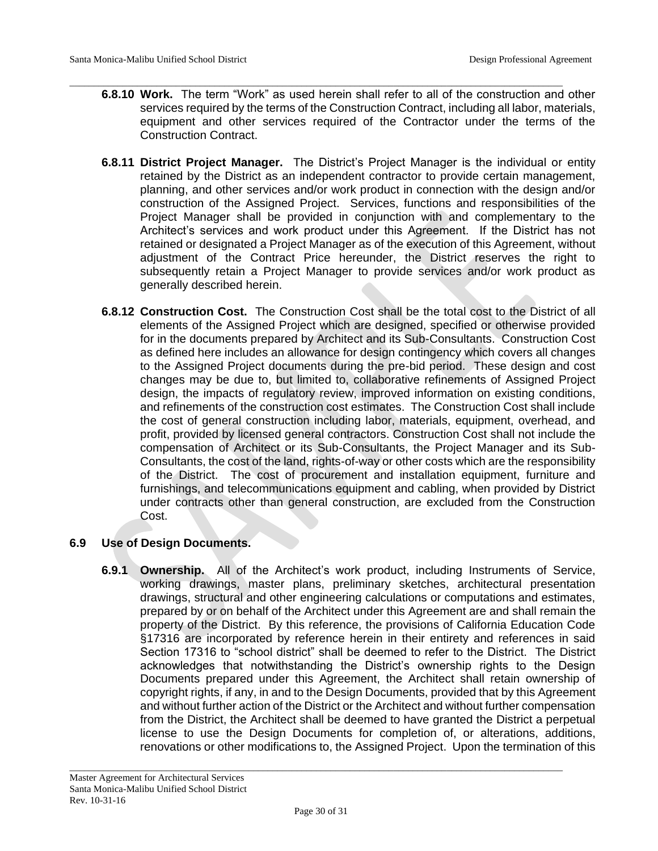**6.8.10 Work.** The term "Work" as used herein shall refer to all of the construction and other services required by the terms of the Construction Contract, including all labor, materials, equipment and other services required of the Contractor under the terms of the Construction Contract.

\_\_\_\_\_\_\_\_\_\_\_\_\_\_\_\_\_\_\_\_\_\_\_\_\_\_\_\_\_\_\_\_\_\_\_\_\_\_\_\_\_\_\_\_\_\_\_\_\_\_\_\_\_\_\_\_\_\_\_\_\_\_\_\_\_\_\_\_\_\_\_\_\_\_\_\_\_\_\_\_\_\_\_\_\_\_\_\_\_\_\_\_\_\_\_\_\_\_\_\_\_\_

- **6.8.11 District Project Manager.** The District's Project Manager is the individual or entity retained by the District as an independent contractor to provide certain management, planning, and other services and/or work product in connection with the design and/or construction of the Assigned Project. Services, functions and responsibilities of the Project Manager shall be provided in conjunction with and complementary to the Architect's services and work product under this Agreement. If the District has not retained or designated a Project Manager as of the execution of this Agreement, without adjustment of the Contract Price hereunder, the District reserves the right to subsequently retain a Project Manager to provide services and/or work product as generally described herein.
- **6.8.12 Construction Cost.** The Construction Cost shall be the total cost to the District of all elements of the Assigned Project which are designed, specified or otherwise provided for in the documents prepared by Architect and its Sub-Consultants. Construction Cost as defined here includes an allowance for design contingency which covers all changes to the Assigned Project documents during the pre-bid period. These design and cost changes may be due to, but limited to, collaborative refinements of Assigned Project design, the impacts of regulatory review, improved information on existing conditions, and refinements of the construction cost estimates. The Construction Cost shall include the cost of general construction including labor, materials, equipment, overhead, and profit, provided by licensed general contractors. Construction Cost shall not include the compensation of Architect or its Sub-Consultants, the Project Manager and its Sub-Consultants, the cost of the land, rights-of-way or other costs which are the responsibility of the District. The cost of procurement and installation equipment, furniture and furnishings, and telecommunications equipment and cabling, when provided by District under contracts other than general construction, are excluded from the Construction Cost.

# **6.9 Use of Design Documents.**

**6.9.1 Ownership.** All of the Architect's work product, including Instruments of Service, working drawings, master plans, preliminary sketches, architectural presentation drawings, structural and other engineering calculations or computations and estimates, prepared by or on behalf of the Architect under this Agreement are and shall remain the property of the District. By this reference, the provisions of California Education Code §17316 are incorporated by reference herein in their entirety and references in said Section 17316 to "school district" shall be deemed to refer to the District. The District acknowledges that notwithstanding the District's ownership rights to the Design Documents prepared under this Agreement, the Architect shall retain ownership of copyright rights, if any, in and to the Design Documents, provided that by this Agreement and without further action of the District or the Architect and without further compensation from the District, the Architect shall be deemed to have granted the District a perpetual license to use the Design Documents for completion of, or alterations, additions, renovations or other modifications to, the Assigned Project. Upon the termination of this